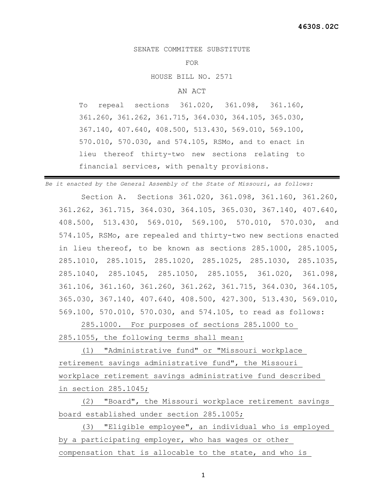SENATE COMMITTEE SUBSTITUTE

## FOR

HOUSE BILL NO. 2571

## AN ACT

To repeal sections 361.020, 361.098, 361.160, 361.260, 361.262, 361.715, 364.030, 364.105, 365.030, 367.140, 407.640, 408.500, 513.430, 569.010, 569.100, 570.010, 570.030, and 574.105, RSMo, and to enact in lieu thereof thirty-two new sections relating to financial services, with penalty provisions.

*Be it enacted by the General Assembly of the State of Missouri, as follows:*

 Section A. Sections 361.020, 361.098, 361.160, 361.260, 361.262, 361.715, 364.030, 364.105, 365.030, 367.140, 407.640, 408.500, 513.430, 569.010, 569.100, 570.010, 570.030, and 574.105, RSMo, are repealed and thirty-two new sections enacted in lieu thereof, to be known as sections 285.1000, 285.1005, 285.1010, 285.1015, 285.1020, 285.1025, 285.1030, 285.1035, 285.1040, 285.1045, 285.1050, 285.1055, 361.020, 361.098, 361.106, 361.160, 361.260, 361.262, 361.715, 364.030, 364.105, 365.030, 367.140, 407.640, 408.500, 427.300, 513.430, 569.010, 569.100, 570.010, 570.030, and 574.105, to read as follows:

 285.1000. For purposes of sections 285.1000 to 285.1055, the following terms shall mean:

 (1) "Administrative fund" or "Missouri workplace retirement savings administrative fund", the Missouri workplace retirement savings administrative fund described in section 285.1045;

 (2) "Board", the Missouri workplace retirement savings board established under section 285.1005;

 (3) "Eligible employee", an individual who is employed by a participating employer, who has wages or other compensation that is allocable to the state, and who is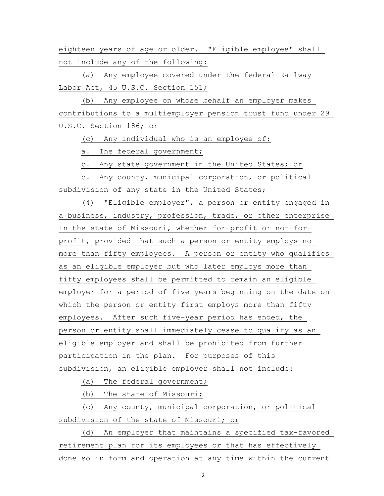eighteen years of age or older. "Eligible employee" shall not include any of the following:

 (a) Any employee covered under the federal Railway Labor Act, 45 U.S.C. Section 151;

 (b) Any employee on whose behalf an employer makes contributions to a multiemployer pension trust fund under 29 U.S.C. Section 186; or

(c) Any individual who is an employee of:

a. The federal government;

b. Any state government in the United States; or

 c. Any county, municipal corporation, or political subdivision of any state in the United States;

 (4) "Eligible employer", a person or entity engaged in a business, industry, profession, trade, or other enterprise in the state of Missouri, whether for-profit or not-forprofit, provided that such a person or entity employs no more than fifty employees. A person or entity who qualifies as an eligible employer but who later employs more than fifty employees shall be permitted to remain an eligible employer for a period of five years beginning on the date on which the person or entity first employs more than fifty employees. After such five-year period has ended, the person or entity shall immediately cease to qualify as an eligible employer and shall be prohibited from further participation in the plan. For purposes of this subdivision, an eligible employer shall not include:

(a) The federal government;

(b) The state of Missouri;

 (c) Any county, municipal corporation, or political subdivision of the state of Missouri; or

 (d) An employer that maintains a specified tax-favored retirement plan for its employees or that has effectively done so in form and operation at any time within the current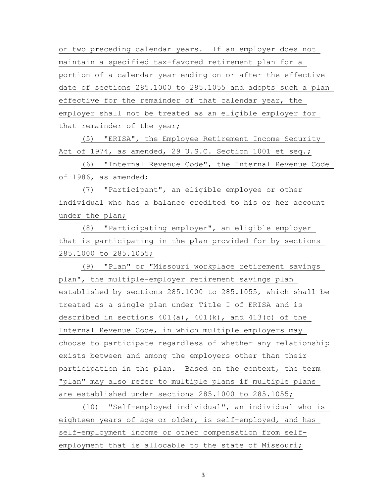or two preceding calendar years. If an employer does not maintain a specified tax-favored retirement plan for a portion of a calendar year ending on or after the effective date of sections 285.1000 to 285.1055 and adopts such a plan effective for the remainder of that calendar year, the employer shall not be treated as an eligible employer for that remainder of the year;

 (5) "ERISA", the Employee Retirement Income Security Act of 1974, as amended, 29 U.S.C. Section 1001 et seq.;

 (6) "Internal Revenue Code", the Internal Revenue Code of 1986, as amended;

 (7) "Participant", an eligible employee or other individual who has a balance credited to his or her account under the plan;

 (8) "Participating employer", an eligible employer that is participating in the plan provided for by sections 285.1000 to 285.1055;

 (9) "Plan" or "Missouri workplace retirement savings plan", the multiple-employer retirement savings plan established by sections 285.1000 to 285.1055, which shall be treated as a single plan under Title I of ERISA and is described in sections  $401(a)$ ,  $401(k)$ , and  $413(c)$  of the Internal Revenue Code, in which multiple employers may choose to participate regardless of whether any relationship exists between and among the employers other than their participation in the plan. Based on the context, the term "plan" may also refer to multiple plans if multiple plans are established under sections 285.1000 to 285.1055;

 (10) "Self-employed individual", an individual who is eighteen years of age or older, is self-employed, and has self-employment income or other compensation from selfemployment that is allocable to the state of Missouri;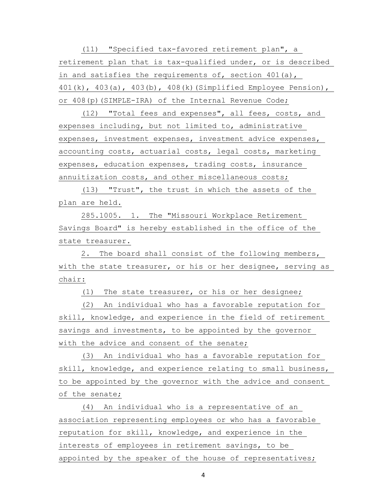(11) "Specified tax-favored retirement plan", a retirement plan that is tax-qualified under, or is described in and satisfies the requirements of, section 401(a), 401(k), 403(a), 403(b), 408(k)(Simplified Employee Pension), or 408(p)(SIMPLE-IRA) of the Internal Revenue Code;

 (12) "Total fees and expenses", all fees, costs, and expenses including, but not limited to, administrative expenses, investment expenses, investment advice expenses, accounting costs, actuarial costs, legal costs, marketing expenses, education expenses, trading costs, insurance annuitization costs, and other miscellaneous costs;

 (13) "Trust", the trust in which the assets of the plan are held.

 285.1005. 1. The "Missouri Workplace Retirement Savings Board" is hereby established in the office of the state treasurer.

 2. The board shall consist of the following members, with the state treasurer, or his or her designee, serving as chair:

(1) The state treasurer, or his or her designee;

 (2) An individual who has a favorable reputation for skill, knowledge, and experience in the field of retirement savings and investments, to be appointed by the governor with the advice and consent of the senate;

 (3) An individual who has a favorable reputation for skill, knowledge, and experience relating to small business, to be appointed by the governor with the advice and consent of the senate;

 (4) An individual who is a representative of an association representing employees or who has a favorable reputation for skill, knowledge, and experience in the interests of employees in retirement savings, to be appointed by the speaker of the house of representatives;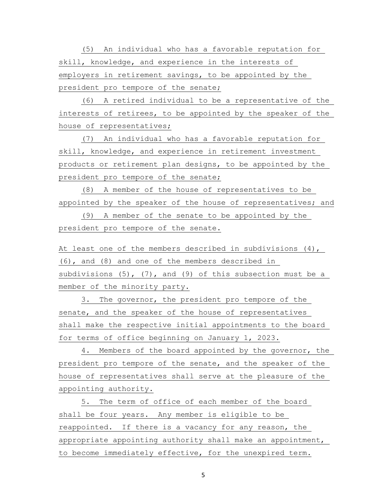(5) An individual who has a favorable reputation for skill, knowledge, and experience in the interests of employers in retirement savings, to be appointed by the president pro tempore of the senate;

 (6) A retired individual to be a representative of the interests of retirees, to be appointed by the speaker of the house of representatives;

 (7) An individual who has a favorable reputation for skill, knowledge, and experience in retirement investment products or retirement plan designs, to be appointed by the president pro tempore of the senate;

 (8) A member of the house of representatives to be appointed by the speaker of the house of representatives; and

 (9) A member of the senate to be appointed by the president pro tempore of the senate.

At least one of the members described in subdivisions (4), (6), and (8) and one of the members described in subdivisions  $(5)$ ,  $(7)$ , and  $(9)$  of this subsection must be a member of the minority party.

 3. The governor, the president pro tempore of the senate, and the speaker of the house of representatives shall make the respective initial appointments to the board for terms of office beginning on January 1, 2023.

 4. Members of the board appointed by the governor, the president pro tempore of the senate, and the speaker of the house of representatives shall serve at the pleasure of the appointing authority.

 5. The term of office of each member of the board shall be four years. Any member is eligible to be reappointed. If there is a vacancy for any reason, the appropriate appointing authority shall make an appointment, to become immediately effective, for the unexpired term.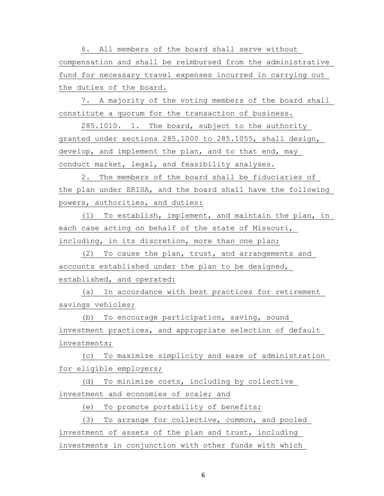6. All members of the board shall serve without compensation and shall be reimbursed from the administrative fund for necessary travel expenses incurred in carrying out the duties of the board.

 7. A majority of the voting members of the board shall constitute a quorum for the transaction of business.

 285.1010. 1. The board, subject to the authority granted under sections 285.1000 to 285.1055, shall design, develop, and implement the plan, and to that end, may conduct market, legal, and feasibility analyses.

 2. The members of the board shall be fiduciaries of the plan under ERISA, and the board shall have the following powers, authorities, and duties:

 (1) To establish, implement, and maintain the plan, in each case acting on behalf of the state of Missouri, including, in its discretion, more than one plan;

 (2) To cause the plan, trust, and arrangements and accounts established under the plan to be designed, established, and operated:

 (a) In accordance with best practices for retirement savings vehicles;

 (b) To encourage participation, saving, sound investment practices, and appropriate selection of default investments;

 (c) To maximize simplicity and ease of administration for eligible employers;

 (d) To minimize costs, including by collective investment and economies of scale; and

(e) To promote portability of benefits;

 (3) To arrange for collective, common, and pooled investment of assets of the plan and trust, including investments in conjunction with other funds with which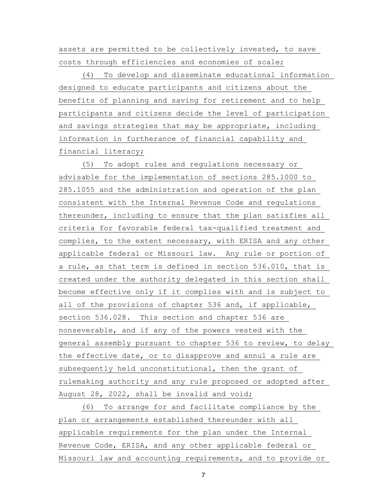assets are permitted to be collectively invested, to save costs through efficiencies and economies of scale;

 (4) To develop and disseminate educational information designed to educate participants and citizens about the benefits of planning and saving for retirement and to help participants and citizens decide the level of participation and savings strategies that may be appropriate, including information in furtherance of financial capability and financial literacy;

 (5) To adopt rules and regulations necessary or advisable for the implementation of sections 285.1000 to 285.1055 and the administration and operation of the plan consistent with the Internal Revenue Code and regulations thereunder, including to ensure that the plan satisfies all criteria for favorable federal tax-qualified treatment and complies, to the extent necessary, with ERISA and any other applicable federal or Missouri law. Any rule or portion of a rule, as that term is defined in section 536.010, that is created under the authority delegated in this section shall become effective only if it complies with and is subject to all of the provisions of chapter 536 and, if applicable, section 536.028. This section and chapter 536 are nonseverable, and if any of the powers vested with the general assembly pursuant to chapter 536 to review, to delay the effective date, or to disapprove and annul a rule are subsequently held unconstitutional, then the grant of rulemaking authority and any rule proposed or adopted after August 28, 2022, shall be invalid and void;

 (6) To arrange for and facilitate compliance by the plan or arrangements established thereunder with all applicable requirements for the plan under the Internal Revenue Code, ERISA, and any other applicable federal or Missouri law and accounting requirements, and to provide or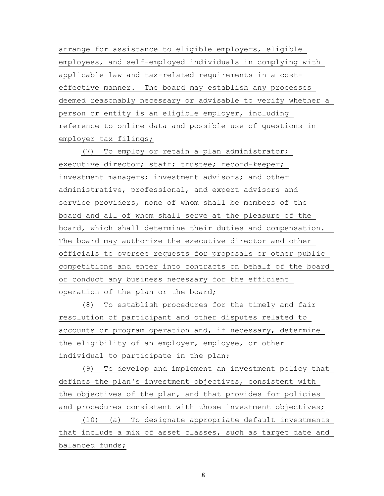arrange for assistance to eligible employers, eligible employees, and self-employed individuals in complying with applicable law and tax-related requirements in a costeffective manner. The board may establish any processes deemed reasonably necessary or advisable to verify whether a person or entity is an eligible employer, including reference to online data and possible use of questions in employer tax filings;

 (7) To employ or retain a plan administrator; executive director; staff; trustee; record-keeper; investment managers; investment advisors; and other administrative, professional, and expert advisors and service providers, none of whom shall be members of the board and all of whom shall serve at the pleasure of the board, which shall determine their duties and compensation. The board may authorize the executive director and other officials to oversee requests for proposals or other public competitions and enter into contracts on behalf of the board or conduct any business necessary for the efficient operation of the plan or the board;

 (8) To establish procedures for the timely and fair resolution of participant and other disputes related to accounts or program operation and, if necessary, determine the eligibility of an employer, employee, or other individual to participate in the plan;

 (9) To develop and implement an investment policy that defines the plan's investment objectives, consistent with the objectives of the plan, and that provides for policies and procedures consistent with those investment objectives;

 (10) (a) To designate appropriate default investments that include a mix of asset classes, such as target date and balanced funds;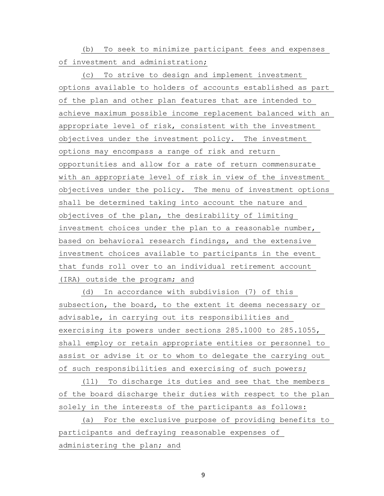(b) To seek to minimize participant fees and expenses of investment and administration;

 (c) To strive to design and implement investment options available to holders of accounts established as part of the plan and other plan features that are intended to achieve maximum possible income replacement balanced with an appropriate level of risk, consistent with the investment objectives under the investment policy. The investment options may encompass a range of risk and return opportunities and allow for a rate of return commensurate with an appropriate level of risk in view of the investment objectives under the policy. The menu of investment options shall be determined taking into account the nature and objectives of the plan, the desirability of limiting investment choices under the plan to a reasonable number, based on behavioral research findings, and the extensive investment choices available to participants in the event that funds roll over to an individual retirement account (IRA) outside the program; and

 (d) In accordance with subdivision (7) of this subsection, the board, to the extent it deems necessary or advisable, in carrying out its responsibilities and exercising its powers under sections 285.1000 to 285.1055, shall employ or retain appropriate entities or personnel to assist or advise it or to whom to delegate the carrying out of such responsibilities and exercising of such powers;

 (11) To discharge its duties and see that the members of the board discharge their duties with respect to the plan solely in the interests of the participants as follows:

 (a) For the exclusive purpose of providing benefits to participants and defraying reasonable expenses of administering the plan; and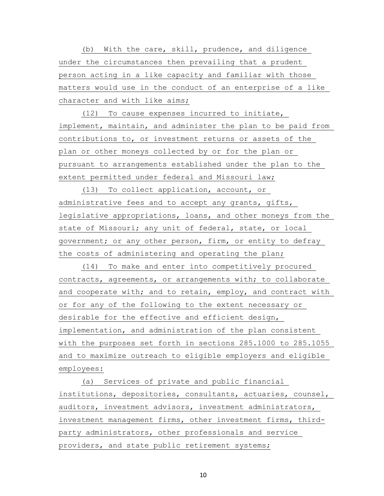(b) With the care, skill, prudence, and diligence under the circumstances then prevailing that a prudent person acting in a like capacity and familiar with those matters would use in the conduct of an enterprise of a like character and with like aims;

 (12) To cause expenses incurred to initiate, implement, maintain, and administer the plan to be paid from contributions to, or investment returns or assets of the plan or other moneys collected by or for the plan or pursuant to arrangements established under the plan to the extent permitted under federal and Missouri law;

 (13) To collect application, account, or administrative fees and to accept any grants, gifts, legislative appropriations, loans, and other moneys from the state of Missouri; any unit of federal, state, or local government; or any other person, firm, or entity to defray the costs of administering and operating the plan;

 (14) To make and enter into competitively procured contracts, agreements, or arrangements with; to collaborate and cooperate with; and to retain, employ, and contract with or for any of the following to the extent necessary or desirable for the effective and efficient design, implementation, and administration of the plan consistent with the purposes set forth in sections 285.1000 to 285.1055 and to maximize outreach to eligible employers and eligible employees:

 (a) Services of private and public financial institutions, depositories, consultants, actuaries, counsel, auditors, investment advisors, investment administrators, investment management firms, other investment firms, thirdparty administrators, other professionals and service providers, and state public retirement systems;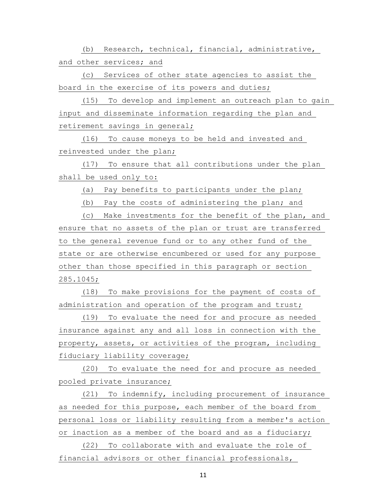(b) Research, technical, financial, administrative, and other services; and

 (c) Services of other state agencies to assist the board in the exercise of its powers and duties;

 (15) To develop and implement an outreach plan to gain input and disseminate information regarding the plan and retirement savings in general;

 (16) To cause moneys to be held and invested and reinvested under the plan;

 (17) To ensure that all contributions under the plan shall be used only to:

(a) Pay benefits to participants under the plan;

(b) Pay the costs of administering the plan; and

 (c) Make investments for the benefit of the plan, and ensure that no assets of the plan or trust are transferred to the general revenue fund or to any other fund of the state or are otherwise encumbered or used for any purpose other than those specified in this paragraph or section 285.1045;

 (18) To make provisions for the payment of costs of administration and operation of the program and trust;

 (19) To evaluate the need for and procure as needed insurance against any and all loss in connection with the property, assets, or activities of the program, including fiduciary liability coverage;

 (20) To evaluate the need for and procure as needed pooled private insurance;

 (21) To indemnify, including procurement of insurance as needed for this purpose, each member of the board from personal loss or liability resulting from a member's action or inaction as a member of the board and as a fiduciary;

 (22) To collaborate with and evaluate the role of financial advisors or other financial professionals,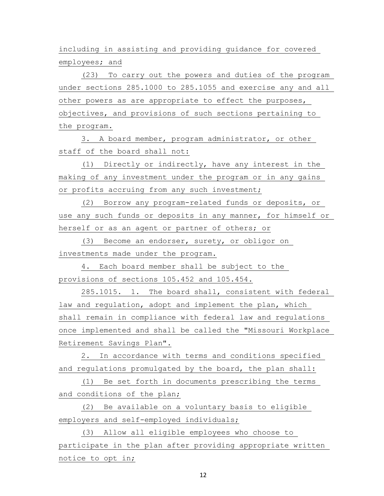including in assisting and providing guidance for covered employees; and

 (23) To carry out the powers and duties of the program under sections 285.1000 to 285.1055 and exercise any and all other powers as are appropriate to effect the purposes, objectives, and provisions of such sections pertaining to the program.

 3. A board member, program administrator, or other staff of the board shall not:

 (1) Directly or indirectly, have any interest in the making of any investment under the program or in any gains or profits accruing from any such investment;

 (2) Borrow any program-related funds or deposits, or use any such funds or deposits in any manner, for himself or herself or as an agent or partner of others; or

 (3) Become an endorser, surety, or obligor on investments made under the program.

 4. Each board member shall be subject to the provisions of sections 105.452 and 105.454.

 285.1015. 1. The board shall, consistent with federal law and regulation, adopt and implement the plan, which shall remain in compliance with federal law and regulations once implemented and shall be called the "Missouri Workplace Retirement Savings Plan".

 2. In accordance with terms and conditions specified and regulations promulgated by the board, the plan shall:

 (1) Be set forth in documents prescribing the terms and conditions of the plan;

 (2) Be available on a voluntary basis to eligible employers and self-employed individuals;

 (3) Allow all eligible employees who choose to participate in the plan after providing appropriate written notice to opt in;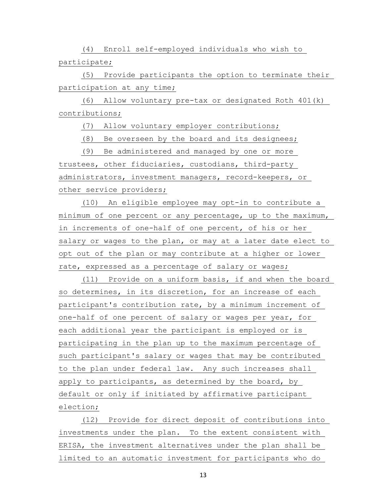(4) Enroll self-employed individuals who wish to participate;

 (5) Provide participants the option to terminate their participation at any time;

 (6) Allow voluntary pre-tax or designated Roth 401(k) contributions;

(7) Allow voluntary employer contributions;

(8) Be overseen by the board and its designees;

 (9) Be administered and managed by one or more trustees, other fiduciaries, custodians, third-party administrators, investment managers, record-keepers, or other service providers;

 (10) An eligible employee may opt-in to contribute a minimum of one percent or any percentage, up to the maximum, in increments of one-half of one percent, of his or her salary or wages to the plan, or may at a later date elect to opt out of the plan or may contribute at a higher or lower rate, expressed as a percentage of salary or wages;

 (11) Provide on a uniform basis, if and when the board so determines, in its discretion, for an increase of each participant's contribution rate, by a minimum increment of one-half of one percent of salary or wages per year, for each additional year the participant is employed or is participating in the plan up to the maximum percentage of such participant's salary or wages that may be contributed to the plan under federal law. Any such increases shall apply to participants, as determined by the board, by default or only if initiated by affirmative participant election;

 (12) Provide for direct deposit of contributions into investments under the plan. To the extent consistent with ERISA, the investment alternatives under the plan shall be limited to an automatic investment for participants who do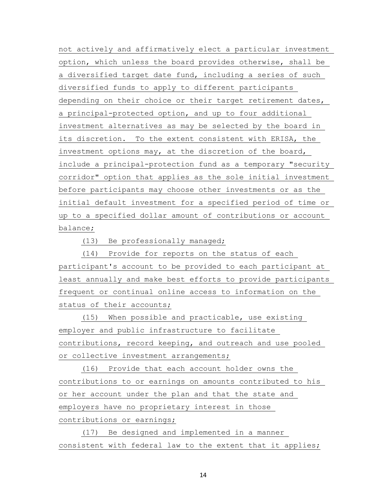not actively and affirmatively elect a particular investment option, which unless the board provides otherwise, shall be a diversified target date fund, including a series of such diversified funds to apply to different participants depending on their choice or their target retirement dates, a principal-protected option, and up to four additional investment alternatives as may be selected by the board in its discretion. To the extent consistent with ERISA, the investment options may, at the discretion of the board, include a principal-protection fund as a temporary "security corridor" option that applies as the sole initial investment before participants may choose other investments or as the initial default investment for a specified period of time or up to a specified dollar amount of contributions or account balance;

(13) Be professionally managed;

 (14) Provide for reports on the status of each participant's account to be provided to each participant at least annually and make best efforts to provide participants frequent or continual online access to information on the status of their accounts;

 (15) When possible and practicable, use existing employer and public infrastructure to facilitate contributions, record keeping, and outreach and use pooled or collective investment arrangements;

 (16) Provide that each account holder owns the contributions to or earnings on amounts contributed to his or her account under the plan and that the state and employers have no proprietary interest in those contributions or earnings;

 (17) Be designed and implemented in a manner consistent with federal law to the extent that it applies;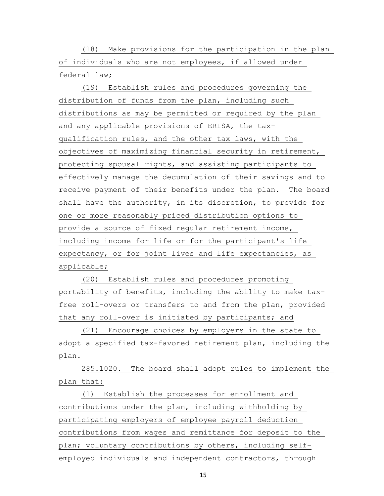(18) Make provisions for the participation in the plan of individuals who are not employees, if allowed under federal law;

 (19) Establish rules and procedures governing the distribution of funds from the plan, including such distributions as may be permitted or required by the plan and any applicable provisions of ERISA, the taxqualification rules, and the other tax laws, with the objectives of maximizing financial security in retirement, protecting spousal rights, and assisting participants to effectively manage the decumulation of their savings and to receive payment of their benefits under the plan. The board shall have the authority, in its discretion, to provide for one or more reasonably priced distribution options to provide a source of fixed regular retirement income, including income for life or for the participant's life expectancy, or for joint lives and life expectancies, as applicable;

 (20) Establish rules and procedures promoting portability of benefits, including the ability to make taxfree roll-overs or transfers to and from the plan, provided that any roll-over is initiated by participants; and

 (21) Encourage choices by employers in the state to adopt a specified tax-favored retirement plan, including the plan.

 285.1020. The board shall adopt rules to implement the plan that:

 (1) Establish the processes for enrollment and contributions under the plan, including withholding by participating employers of employee payroll deduction contributions from wages and remittance for deposit to the plan; voluntary contributions by others, including selfemployed individuals and independent contractors, through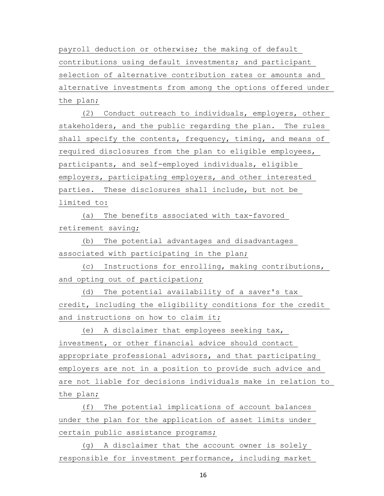payroll deduction or otherwise; the making of default contributions using default investments; and participant selection of alternative contribution rates or amounts and alternative investments from among the options offered under the plan;

 (2) Conduct outreach to individuals, employers, other stakeholders, and the public regarding the plan. The rules shall specify the contents, frequency, timing, and means of required disclosures from the plan to eligible employees, participants, and self-employed individuals, eligible employers, participating employers, and other interested parties. These disclosures shall include, but not be limited to:

 (a) The benefits associated with tax-favored retirement saving;

 (b) The potential advantages and disadvantages associated with participating in the plan;

 (c) Instructions for enrolling, making contributions, and opting out of participation;

 (d) The potential availability of a saver's tax credit, including the eligibility conditions for the credit and instructions on how to claim it;

 (e) A disclaimer that employees seeking tax, investment, or other financial advice should contact appropriate professional advisors, and that participating employers are not in a position to provide such advice and are not liable for decisions individuals make in relation to the plan;

 (f) The potential implications of account balances under the plan for the application of asset limits under certain public assistance programs;

 (g) A disclaimer that the account owner is solely responsible for investment performance, including market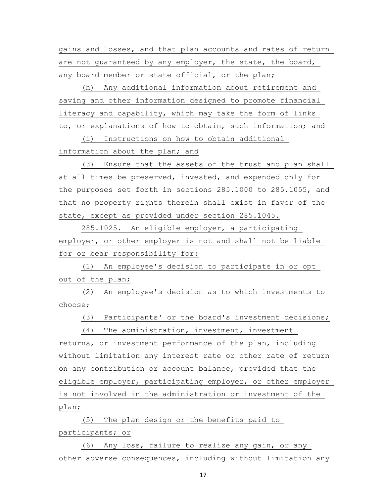gains and losses, and that plan accounts and rates of return are not guaranteed by any employer, the state, the board, any board member or state official, or the plan;

 (h) Any additional information about retirement and saving and other information designed to promote financial literacy and capability, which may take the form of links to, or explanations of how to obtain, such information; and

 (i) Instructions on how to obtain additional information about the plan; and

 (3) Ensure that the assets of the trust and plan shall at all times be preserved, invested, and expended only for the purposes set forth in sections 285.1000 to 285.1055, and that no property rights therein shall exist in favor of the state, except as provided under section 285.1045.

 285.1025. An eligible employer, a participating employer, or other employer is not and shall not be liable for or bear responsibility for:

 (1) An employee's decision to participate in or opt out of the plan;

 (2) An employee's decision as to which investments to choose;

(3) Participants' or the board's investment decisions;

 (4) The administration, investment, investment returns, or investment performance of the plan, including without limitation any interest rate or other rate of return on any contribution or account balance, provided that the eligible employer, participating employer, or other employer is not involved in the administration or investment of the plan;

 (5) The plan design or the benefits paid to participants; or

 (6) Any loss, failure to realize any gain, or any other adverse consequences, including without limitation any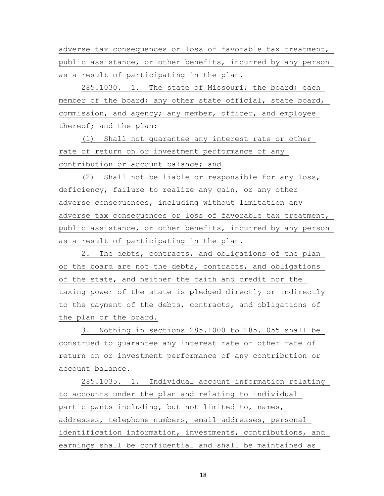adverse tax consequences or loss of favorable tax treatment, public assistance, or other benefits, incurred by any person as a result of participating in the plan.

 285.1030. 1. The state of Missouri; the board; each member of the board; any other state official, state board, commission, and agency; any member, officer, and employee thereof; and the plan:

 (1) Shall not guarantee any interest rate or other rate of return on or investment performance of any contribution or account balance; and

 (2) Shall not be liable or responsible for any loss, deficiency, failure to realize any gain, or any other adverse consequences, including without limitation any adverse tax consequences or loss of favorable tax treatment, public assistance, or other benefits, incurred by any person as a result of participating in the plan.

 2. The debts, contracts, and obligations of the plan or the board are not the debts, contracts, and obligations of the state, and neither the faith and credit nor the taxing power of the state is pledged directly or indirectly to the payment of the debts, contracts, and obligations of the plan or the board.

 3. Nothing in sections 285.1000 to 285.1055 shall be construed to guarantee any interest rate or other rate of return on or investment performance of any contribution or account balance.

 285.1035. 1. Individual account information relating to accounts under the plan and relating to individual participants including, but not limited to, names, addresses, telephone numbers, email addresses, personal identification information, investments, contributions, and earnings shall be confidential and shall be maintained as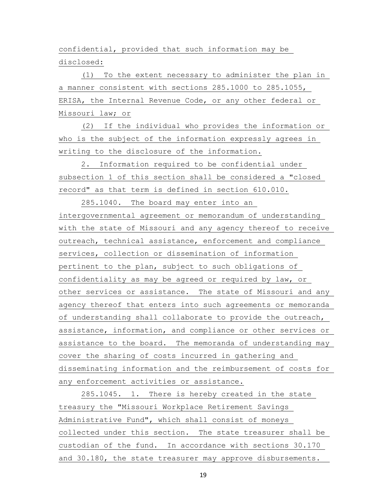confidential, provided that such information may be disclosed:

 (1) To the extent necessary to administer the plan in a manner consistent with sections 285.1000 to 285.1055, ERISA, the Internal Revenue Code, or any other federal or Missouri law; or

 (2) If the individual who provides the information or who is the subject of the information expressly agrees in writing to the disclosure of the information.

 2. Information required to be confidential under subsection 1 of this section shall be considered a "closed record" as that term is defined in section 610.010.

 285.1040. The board may enter into an intergovernmental agreement or memorandum of understanding with the state of Missouri and any agency thereof to receive outreach, technical assistance, enforcement and compliance services, collection or dissemination of information pertinent to the plan, subject to such obligations of confidentiality as may be agreed or required by law, or other services or assistance. The state of Missouri and any agency thereof that enters into such agreements or memoranda of understanding shall collaborate to provide the outreach, assistance, information, and compliance or other services or assistance to the board. The memoranda of understanding may cover the sharing of costs incurred in gathering and disseminating information and the reimbursement of costs for any enforcement activities or assistance.

 285.1045. 1. There is hereby created in the state treasury the "Missouri Workplace Retirement Savings Administrative Fund", which shall consist of moneys collected under this section. The state treasurer shall be custodian of the fund. In accordance with sections 30.170 and 30.180, the state treasurer may approve disbursements.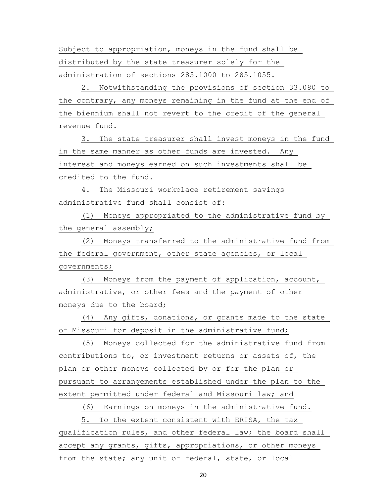Subject to appropriation, moneys in the fund shall be distributed by the state treasurer solely for the administration of sections 285.1000 to 285.1055.

 2. Notwithstanding the provisions of section 33.080 to the contrary, any moneys remaining in the fund at the end of the biennium shall not revert to the credit of the general revenue fund.

 3. The state treasurer shall invest moneys in the fund in the same manner as other funds are invested. Any interest and moneys earned on such investments shall be credited to the fund.

 4. The Missouri workplace retirement savings administrative fund shall consist of:

 (1) Moneys appropriated to the administrative fund by the general assembly;

 (2) Moneys transferred to the administrative fund from the federal government, other state agencies, or local governments;

 (3) Moneys from the payment of application, account, administrative, or other fees and the payment of other moneys due to the board;

 (4) Any gifts, donations, or grants made to the state of Missouri for deposit in the administrative fund;

 (5) Moneys collected for the administrative fund from contributions to, or investment returns or assets of, the plan or other moneys collected by or for the plan or pursuant to arrangements established under the plan to the extent permitted under federal and Missouri law; and

(6) Earnings on moneys in the administrative fund.

 5. To the extent consistent with ERISA, the tax qualification rules, and other federal law; the board shall accept any grants, gifts, appropriations, or other moneys from the state; any unit of federal, state, or local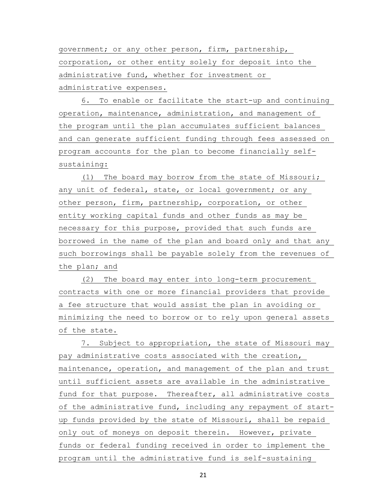government; or any other person, firm, partnership, corporation, or other entity solely for deposit into the administrative fund, whether for investment or administrative expenses.

 6. To enable or facilitate the start-up and continuing operation, maintenance, administration, and management of the program until the plan accumulates sufficient balances and can generate sufficient funding through fees assessed on program accounts for the plan to become financially selfsustaining:

 (1) The board may borrow from the state of Missouri; any unit of federal, state, or local government; or any other person, firm, partnership, corporation, or other entity working capital funds and other funds as may be necessary for this purpose, provided that such funds are borrowed in the name of the plan and board only and that any such borrowings shall be payable solely from the revenues of the plan; and

 (2) The board may enter into long-term procurement contracts with one or more financial providers that provide a fee structure that would assist the plan in avoiding or minimizing the need to borrow or to rely upon general assets of the state.

 7. Subject to appropriation, the state of Missouri may pay administrative costs associated with the creation, maintenance, operation, and management of the plan and trust until sufficient assets are available in the administrative fund for that purpose. Thereafter, all administrative costs of the administrative fund, including any repayment of startup funds provided by the state of Missouri, shall be repaid only out of moneys on deposit therein. However, private funds or federal funding received in order to implement the program until the administrative fund is self-sustaining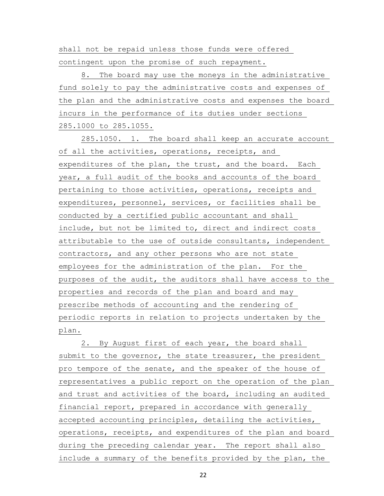shall not be repaid unless those funds were offered contingent upon the promise of such repayment.

 8. The board may use the moneys in the administrative fund solely to pay the administrative costs and expenses of the plan and the administrative costs and expenses the board incurs in the performance of its duties under sections 285.1000 to 285.1055.

 285.1050. 1. The board shall keep an accurate account of all the activities, operations, receipts, and expenditures of the plan, the trust, and the board. Each year, a full audit of the books and accounts of the board pertaining to those activities, operations, receipts and expenditures, personnel, services, or facilities shall be conducted by a certified public accountant and shall include, but not be limited to, direct and indirect costs attributable to the use of outside consultants, independent contractors, and any other persons who are not state employees for the administration of the plan. For the purposes of the audit, the auditors shall have access to the properties and records of the plan and board and may prescribe methods of accounting and the rendering of periodic reports in relation to projects undertaken by the plan.

 2. By August first of each year, the board shall submit to the governor, the state treasurer, the president pro tempore of the senate, and the speaker of the house of representatives a public report on the operation of the plan and trust and activities of the board, including an audited financial report, prepared in accordance with generally accepted accounting principles, detailing the activities, operations, receipts, and expenditures of the plan and board during the preceding calendar year. The report shall also include a summary of the benefits provided by the plan, the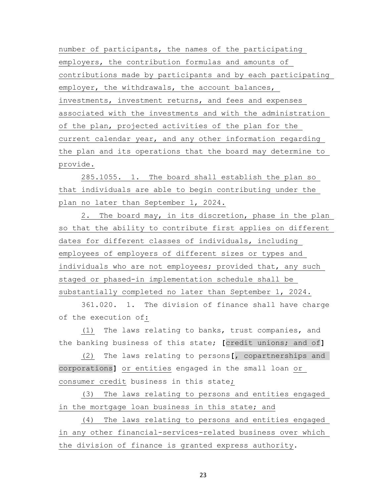number of participants, the names of the participating employers, the contribution formulas and amounts of contributions made by participants and by each participating employer, the withdrawals, the account balances, investments, investment returns, and fees and expenses associated with the investments and with the administration of the plan, projected activities of the plan for the current calendar year, and any other information regarding the plan and its operations that the board may determine to provide.

 285.1055. 1. The board shall establish the plan so that individuals are able to begin contributing under the plan no later than September 1, 2024.

 2. The board may, in its discretion, phase in the plan so that the ability to contribute first applies on different dates for different classes of individuals, including employees of employers of different sizes or types and individuals who are not employees; provided that, any such staged or phased-in implementation schedule shall be substantially completed no later than September 1, 2024.

 361.020. 1. The division of finance shall have charge of the execution of:

 (1) The laws relating to banks, trust companies, and the banking business of this state; **[**credit unions; and of**]**

 (2) The laws relating to persons**[**, copartnerships and corporations**]** or entities engaged in the small loan or consumer credit business in this state;

 (3) The laws relating to persons and entities engaged in the mortgage loan business in this state; and

 (4) The laws relating to persons and entities engaged in any other financial-services-related business over which the division of finance is granted express authority.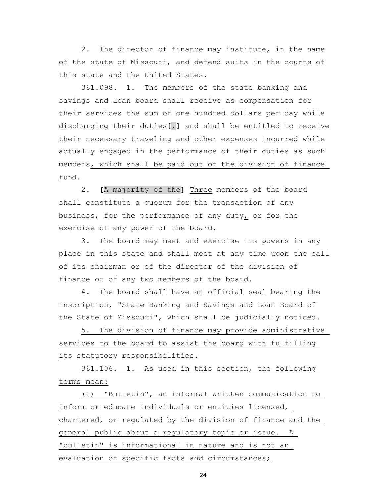2. The director of finance may institute, in the name of the state of Missouri, and defend suits in the courts of this state and the United States.

 361.098. 1. The members of the state banking and savings and loan board shall receive as compensation for their services the sum of one hundred dollars per day while discharging their duties**[**,**]** and shall be entitled to receive their necessary traveling and other expenses incurred while actually engaged in the performance of their duties as such members, which shall be paid out of the division of finance fund.

 2. **[**A majority of the**]** Three members of the board shall constitute a quorum for the transaction of any business, for the performance of any duty, or for the exercise of any power of the board.

 3. The board may meet and exercise its powers in any place in this state and shall meet at any time upon the call of its chairman or of the director of the division of finance or of any two members of the board.

 4. The board shall have an official seal bearing the inscription, "State Banking and Savings and Loan Board of the State of Missouri", which shall be judicially noticed.

 5. The division of finance may provide administrative services to the board to assist the board with fulfilling its statutory responsibilities.

 361.106. 1. As used in this section, the following terms mean:

 (1) "Bulletin", an informal written communication to inform or educate individuals or entities licensed, chartered, or regulated by the division of finance and the general public about a regulatory topic or issue. A "bulletin" is informational in nature and is not an evaluation of specific facts and circumstances;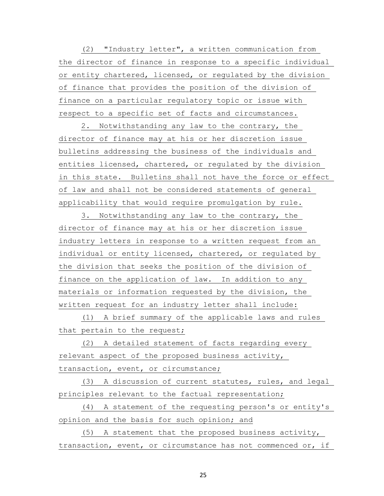(2) "Industry letter", a written communication from the director of finance in response to a specific individual or entity chartered, licensed, or regulated by the division of finance that provides the position of the division of finance on a particular regulatory topic or issue with respect to a specific set of facts and circumstances.

 2. Notwithstanding any law to the contrary, the director of finance may at his or her discretion issue bulletins addressing the business of the individuals and entities licensed, chartered, or regulated by the division in this state. Bulletins shall not have the force or effect of law and shall not be considered statements of general applicability that would require promulgation by rule.

 3. Notwithstanding any law to the contrary, the director of finance may at his or her discretion issue industry letters in response to a written request from an individual or entity licensed, chartered, or regulated by the division that seeks the position of the division of finance on the application of law. In addition to any materials or information requested by the division, the written request for an industry letter shall include:

 (1) A brief summary of the applicable laws and rules that pertain to the request;

 (2) A detailed statement of facts regarding every relevant aspect of the proposed business activity, transaction, event, or circumstance;

 (3) A discussion of current statutes, rules, and legal principles relevant to the factual representation;

 (4) A statement of the requesting person's or entity's opinion and the basis for such opinion; and

 (5) A statement that the proposed business activity, transaction, event, or circumstance has not commenced or, if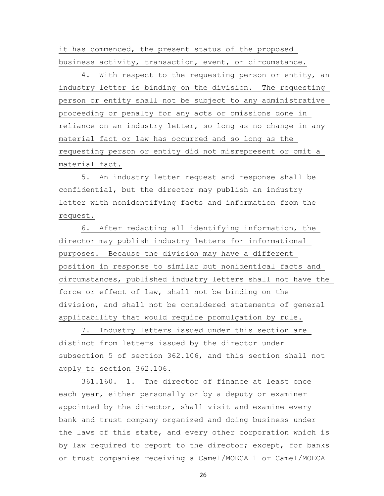it has commenced, the present status of the proposed business activity, transaction, event, or circumstance.

 4. With respect to the requesting person or entity, an industry letter is binding on the division. The requesting person or entity shall not be subject to any administrative proceeding or penalty for any acts or omissions done in reliance on an industry letter, so long as no change in any material fact or law has occurred and so long as the requesting person or entity did not misrepresent or omit a material fact.

 5. An industry letter request and response shall be confidential, but the director may publish an industry letter with nonidentifying facts and information from the request.

 6. After redacting all identifying information, the director may publish industry letters for informational purposes. Because the division may have a different position in response to similar but nonidentical facts and circumstances, published industry letters shall not have the force or effect of law, shall not be binding on the division, and shall not be considered statements of general applicability that would require promulgation by rule.

 7. Industry letters issued under this section are distinct from letters issued by the director under subsection 5 of section 362.106, and this section shall not apply to section 362.106.

 361.160. 1. The director of finance at least once each year, either personally or by a deputy or examiner appointed by the director, shall visit and examine every bank and trust company organized and doing business under the laws of this state, and every other corporation which is by law required to report to the director; except, for banks or trust companies receiving a Camel/MOECA 1 or Camel/MOECA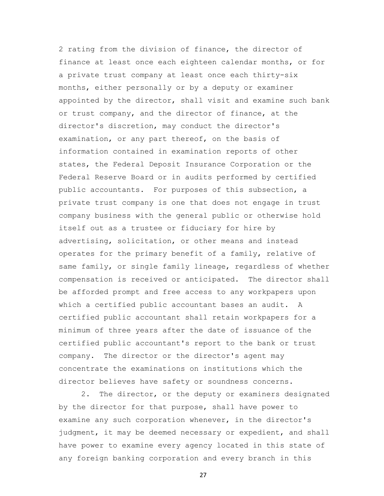2 rating from the division of finance, the director of finance at least once each eighteen calendar months, or for a private trust company at least once each thirty-six months, either personally or by a deputy or examiner appointed by the director, shall visit and examine such bank or trust company, and the director of finance, at the director's discretion, may conduct the director's examination, or any part thereof, on the basis of information contained in examination reports of other states, the Federal Deposit Insurance Corporation or the Federal Reserve Board or in audits performed by certified public accountants. For purposes of this subsection, a private trust company is one that does not engage in trust company business with the general public or otherwise hold itself out as a trustee or fiduciary for hire by advertising, solicitation, or other means and instead operates for the primary benefit of a family, relative of same family, or single family lineage, regardless of whether compensation is received or anticipated. The director shall be afforded prompt and free access to any workpapers upon which a certified public accountant bases an audit. A certified public accountant shall retain workpapers for a minimum of three years after the date of issuance of the certified public accountant's report to the bank or trust company. The director or the director's agent may concentrate the examinations on institutions which the director believes have safety or soundness concerns.

 2. The director, or the deputy or examiners designated by the director for that purpose, shall have power to examine any such corporation whenever, in the director's judgment, it may be deemed necessary or expedient, and shall have power to examine every agency located in this state of any foreign banking corporation and every branch in this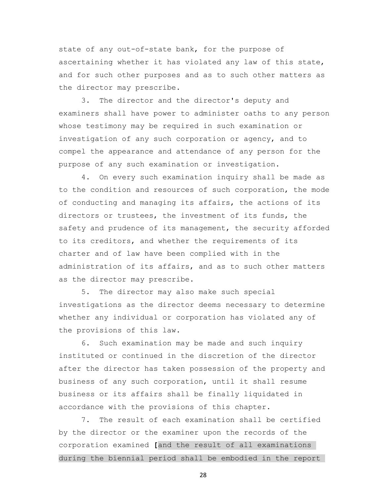state of any out-of-state bank, for the purpose of ascertaining whether it has violated any law of this state, and for such other purposes and as to such other matters as the director may prescribe.

 3. The director and the director's deputy and examiners shall have power to administer oaths to any person whose testimony may be required in such examination or investigation of any such corporation or agency, and to compel the appearance and attendance of any person for the purpose of any such examination or investigation.

 4. On every such examination inquiry shall be made as to the condition and resources of such corporation, the mode of conducting and managing its affairs, the actions of its directors or trustees, the investment of its funds, the safety and prudence of its management, the security afforded to its creditors, and whether the requirements of its charter and of law have been complied with in the administration of its affairs, and as to such other matters as the director may prescribe.

 5. The director may also make such special investigations as the director deems necessary to determine whether any individual or corporation has violated any of the provisions of this law.

 6. Such examination may be made and such inquiry instituted or continued in the discretion of the director after the director has taken possession of the property and business of any such corporation, until it shall resume business or its affairs shall be finally liquidated in accordance with the provisions of this chapter.

 7. The result of each examination shall be certified by the director or the examiner upon the records of the corporation examined **[**and the result of all examinations during the biennial period shall be embodied in the report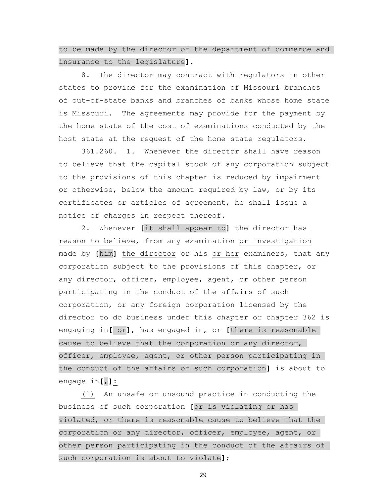to be made by the director of the department of commerce and insurance to the legislature**]**.

 8. The director may contract with regulators in other states to provide for the examination of Missouri branches of out-of-state banks and branches of banks whose home state is Missouri. The agreements may provide for the payment by the home state of the cost of examinations conducted by the host state at the request of the home state regulators.

 361.260. 1. Whenever the director shall have reason to believe that the capital stock of any corporation subject to the provisions of this chapter is reduced by impairment or otherwise, below the amount required by law, or by its certificates or articles of agreement, he shall issue a notice of charges in respect thereof.

 2. Whenever **[**it shall appear to**]** the director has reason to believe, from any examination or investigation made by **[**him**]** the director or his or her examiners, that any corporation subject to the provisions of this chapter, or any director, officer, employee, agent, or other person participating in the conduct of the affairs of such corporation, or any foreign corporation licensed by the director to do business under this chapter or chapter 362 is engaging in**[** or**]**, has engaged in, or **[**there is reasonable cause to believe that the corporation or any director, officer, employee, agent, or other person participating in the conduct of the affairs of such corporation**]** is about to engage in**[**,**]**:

 (1) An unsafe or unsound practice in conducting the business of such corporation **[**or is violating or has violated, or there is reasonable cause to believe that the corporation or any director, officer, employee, agent, or other person participating in the conduct of the affairs of such corporation is about to violate**]**;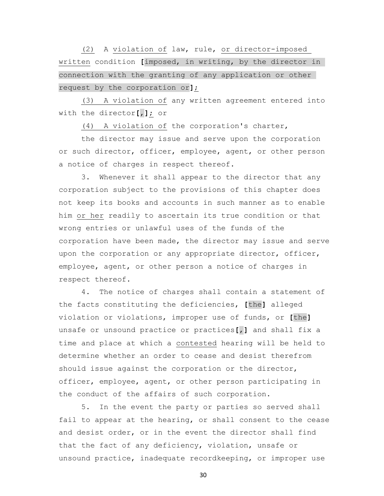(2) A violation of law, rule, or director-imposed written condition **[**imposed, in writing, by the director in connection with the granting of any application or other request by the corporation or**]**;

 (3) A violation of any written agreement entered into with the director**[**,**]**; or

(4) A violation of the corporation's charter,

 the director may issue and serve upon the corporation or such director, officer, employee, agent, or other person a notice of charges in respect thereof.

 3. Whenever it shall appear to the director that any corporation subject to the provisions of this chapter does not keep its books and accounts in such manner as to enable him or her readily to ascertain its true condition or that wrong entries or unlawful uses of the funds of the corporation have been made, the director may issue and serve upon the corporation or any appropriate director, officer, employee, agent, or other person a notice of charges in respect thereof.

 4. The notice of charges shall contain a statement of the facts constituting the deficiencies, **[**the**]** alleged violation or violations, improper use of funds, or **[**the**]** unsafe or unsound practice or practices**[**,**]** and shall fix a time and place at which a contested hearing will be held to determine whether an order to cease and desist therefrom should issue against the corporation or the director, officer, employee, agent, or other person participating in the conduct of the affairs of such corporation.

 5. In the event the party or parties so served shall fail to appear at the hearing, or shall consent to the cease and desist order, or in the event the director shall find that the fact of any deficiency, violation, unsafe or unsound practice, inadequate recordkeeping, or improper use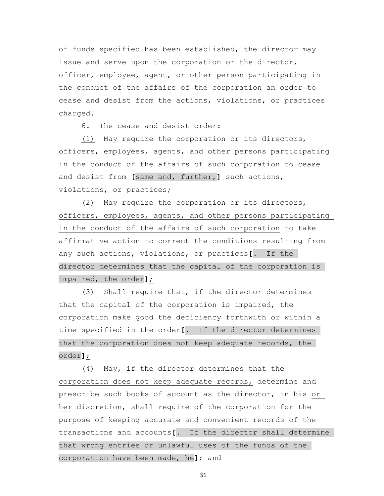of funds specified has been established, the director may issue and serve upon the corporation or the director, officer, employee, agent, or other person participating in the conduct of the affairs of the corporation an order to cease and desist from the actions, violations, or practices charged.

6. The cease and desist order:

 (1) May require the corporation or its directors, officers, employees, agents, and other persons participating in the conduct of the affairs of such corporation to cease and desist from **[**same and, further,**]** such actions, violations, or practices;

 (2) May require the corporation or its directors, officers, employees, agents, and other persons participating in the conduct of the affairs of such corporation to take affirmative action to correct the conditions resulting from any such actions, violations, or practices**[**. If the director determines that the capital of the corporation is impaired, the order**]**;

 (3) Shall require that, if the director determines that the capital of the corporation is impaired, the corporation make good the deficiency forthwith or within a time specified in the order**[**. If the director determines that the corporation does not keep adequate records, the order**]**;

 (4) May, if the director determines that the corporation does not keep adequate records, determine and prescribe such books of account as the director, in his or her discretion, shall require of the corporation for the purpose of keeping accurate and convenient records of the transactions and accounts**[**. If the director shall determine that wrong entries or unlawful uses of the funds of the corporation have been made, he**]**; and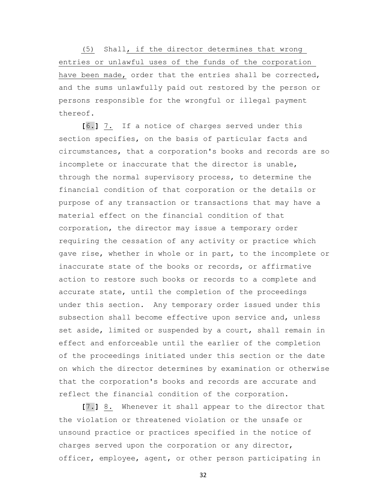(5) Shall, if the director determines that wrong entries or unlawful uses of the funds of the corporation have been made, order that the entries shall be corrected, and the sums unlawfully paid out restored by the person or persons responsible for the wrongful or illegal payment thereof.

 **[**6.**]** 7. If a notice of charges served under this section specifies, on the basis of particular facts and circumstances, that a corporation's books and records are so incomplete or inaccurate that the director is unable, through the normal supervisory process, to determine the financial condition of that corporation or the details or purpose of any transaction or transactions that may have a material effect on the financial condition of that corporation, the director may issue a temporary order requiring the cessation of any activity or practice which gave rise, whether in whole or in part, to the incomplete or inaccurate state of the books or records, or affirmative action to restore such books or records to a complete and accurate state, until the completion of the proceedings under this section. Any temporary order issued under this subsection shall become effective upon service and, unless set aside, limited or suspended by a court, shall remain in effect and enforceable until the earlier of the completion of the proceedings initiated under this section or the date on which the director determines by examination or otherwise that the corporation's books and records are accurate and reflect the financial condition of the corporation.

 **[**7.**]** 8. Whenever it shall appear to the director that the violation or threatened violation or the unsafe or unsound practice or practices specified in the notice of charges served upon the corporation or any director, officer, employee, agent, or other person participating in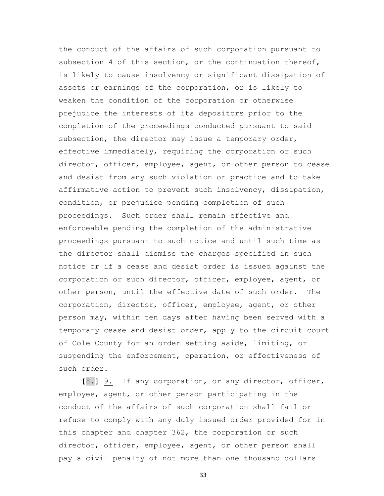the conduct of the affairs of such corporation pursuant to subsection 4 of this section, or the continuation thereof, is likely to cause insolvency or significant dissipation of assets or earnings of the corporation, or is likely to weaken the condition of the corporation or otherwise prejudice the interests of its depositors prior to the completion of the proceedings conducted pursuant to said subsection, the director may issue a temporary order, effective immediately, requiring the corporation or such director, officer, employee, agent, or other person to cease and desist from any such violation or practice and to take affirmative action to prevent such insolvency, dissipation, condition, or prejudice pending completion of such proceedings. Such order shall remain effective and enforceable pending the completion of the administrative proceedings pursuant to such notice and until such time as the director shall dismiss the charges specified in such notice or if a cease and desist order is issued against the corporation or such director, officer, employee, agent, or other person, until the effective date of such order. The corporation, director, officer, employee, agent, or other person may, within ten days after having been served with a temporary cease and desist order, apply to the circuit court of Cole County for an order setting aside, limiting, or suspending the enforcement, operation, or effectiveness of such order.

 **[**8.**]** 9. If any corporation, or any director, officer, employee, agent, or other person participating in the conduct of the affairs of such corporation shall fail or refuse to comply with any duly issued order provided for in this chapter and chapter 362, the corporation or such director, officer, employee, agent, or other person shall pay a civil penalty of not more than one thousand dollars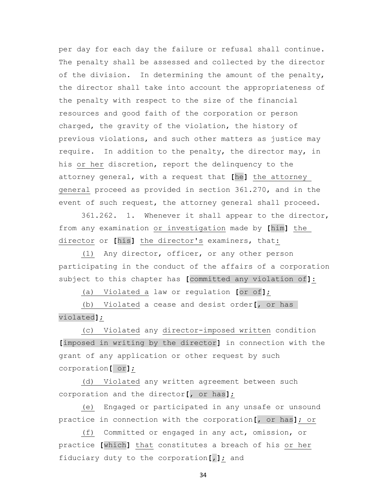per day for each day the failure or refusal shall continue. The penalty shall be assessed and collected by the director of the division. In determining the amount of the penalty, the director shall take into account the appropriateness of the penalty with respect to the size of the financial resources and good faith of the corporation or person charged, the gravity of the violation, the history of previous violations, and such other matters as justice may require. In addition to the penalty, the director may, in his or her discretion, report the delinquency to the attorney general, with a request that **[**he**]** the attorney general proceed as provided in section 361.270, and in the event of such request, the attorney general shall proceed.

 361.262. 1. Whenever it shall appear to the director, from any examination or investigation made by **[**him**]** the director or **[**his**]** the director's examiners, that:

 (1) Any director, officer, or any other person participating in the conduct of the affairs of a corporation subject to this chapter has **[**committed any violation of**]**:

(a) Violated a law or regulation **[**or of**]**;

 (b) Violated a cease and desist order**[**, or has violated**]**;

 (c) Violated any director-imposed written condition **[**imposed in writing by the director**]** in connection with the grant of any application or other request by such corporation**[** or**]**;

 (d) Violated any written agreement between such corporation and the director**[**, or has**]**;

 (e) Engaged or participated in any unsafe or unsound practice in connection with the corporation**[**, or has**]**; or

 (f) Committed or engaged in any act, omission, or practice **[**which**]** that constitutes a breach of his or her fiduciary duty to the corporation**[**,**]**; and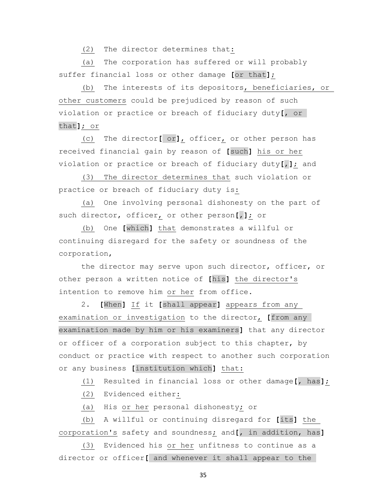(2) The director determines that:

 (a) The corporation has suffered or will probably suffer financial loss or other damage **[**or that**]**;

 (b) The interests of its depositors, beneficiaries, or other customers could be prejudiced by reason of such violation or practice or breach of fiduciary duty**[**, or that**]**; or

 (c) The director**[** or**]**, officer, or other person has received financial gain by reason of **[**such**]** his or her violation or practice or breach of fiduciary duty**[**,**]**; and

 (3) The director determines that such violation or practice or breach of fiduciary duty is:

 (a) One involving personal dishonesty on the part of such director, officer, or other person**[**,**]**; or

 (b) One **[**which**]** that demonstrates a willful or continuing disregard for the safety or soundness of the corporation,

 the director may serve upon such director, officer, or other person a written notice of **[**his**]** the director's intention to remove him or her from office.

 2. **[**When**]** If it **[**shall appear**]** appears from any examination or investigation to the director, **[**from any examination made by him or his examiners**]** that any director or officer of a corporation subject to this chapter, by conduct or practice with respect to another such corporation or any business **[**institution which**]** that:

(1) Resulted in financial loss or other damage**[**, has**]**;

(2) Evidenced either:

(a) His or her personal dishonesty; or

 (b) A willful or continuing disregard for **[**its**]** the corporation's safety and soundness; and**[**, in addition, has**]**

 (3) Evidenced his or her unfitness to continue as a director or officer**[** and whenever it shall appear to the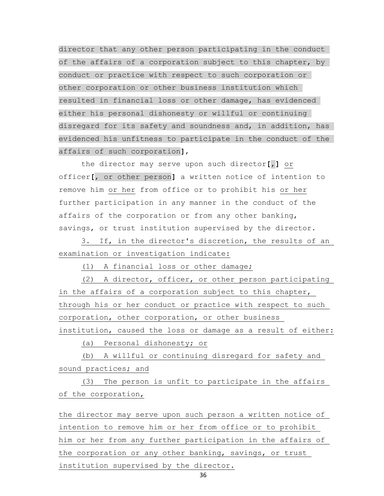director that any other person participating in the conduct of the affairs of a corporation subject to this chapter, by conduct or practice with respect to such corporation or other corporation or other business institution which resulted in financial loss or other damage, has evidenced either his personal dishonesty or willful or continuing disregard for its safety and soundness and, in addition, has evidenced his unfitness to participate in the conduct of the affairs of such corporation**]**,

 the director may serve upon such director**[**,**]** or officer**[**, or other person**]** a written notice of intention to remove him or her from office or to prohibit his or her further participation in any manner in the conduct of the affairs of the corporation or from any other banking, savings, or trust institution supervised by the director.

 3. If, in the director's discretion, the results of an examination or investigation indicate:

(1) A financial loss or other damage;

 (2) A director, officer, or other person participating in the affairs of a corporation subject to this chapter, through his or her conduct or practice with respect to such corporation, other corporation, or other business institution, caused the loss or damage as a result of either:

(a) Personal dishonesty; or

 (b) A willful or continuing disregard for safety and sound practices; and

 (3) The person is unfit to participate in the affairs of the corporation,

the director may serve upon such person a written notice of intention to remove him or her from office or to prohibit him or her from any further participation in the affairs of the corporation or any other banking, savings, or trust institution supervised by the director.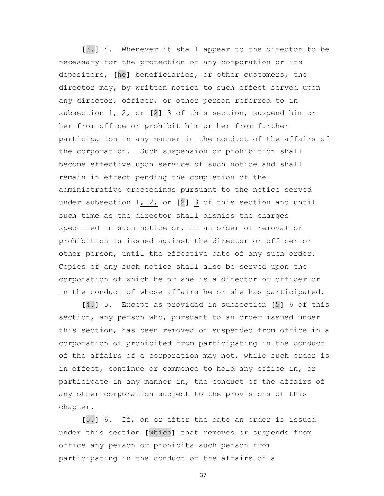**[**3.**]** 4. Whenever it shall appear to the director to be necessary for the protection of any corporation or its depositors, **[**he**]** beneficiaries, or other customers, the director may, by written notice to such effect served upon any director, officer, or other person referred to in subsection 1, 2, or **[**2**]** 3 of this section, suspend him or her from office or prohibit him or her from further participation in any manner in the conduct of the affairs of the corporation. Such suspension or prohibition shall become effective upon service of such notice and shall remain in effect pending the completion of the administrative proceedings pursuant to the notice served under subsection 1, 2, or **[**2**]** 3 of this section and until such time as the director shall dismiss the charges specified in such notice or, if an order of removal or prohibition is issued against the director or officer or other person, until the effective date of any such order. Copies of any such notice shall also be served upon the corporation of which he or she is a director or officer or in the conduct of whose affairs he or she has participated.

 **[**4.**]** 5. Except as provided in subsection **[**5**]** 6 of this section, any person who, pursuant to an order issued under this section, has been removed or suspended from office in a corporation or prohibited from participating in the conduct of the affairs of a corporation may not, while such order is in effect, continue or commence to hold any office in, or participate in any manner in, the conduct of the affairs of any other corporation subject to the provisions of this chapter.

 **[**5.**]** 6. If, on or after the date an order is issued under this section **[**which**]** that removes or suspends from office any person or prohibits such person from participating in the conduct of the affairs of a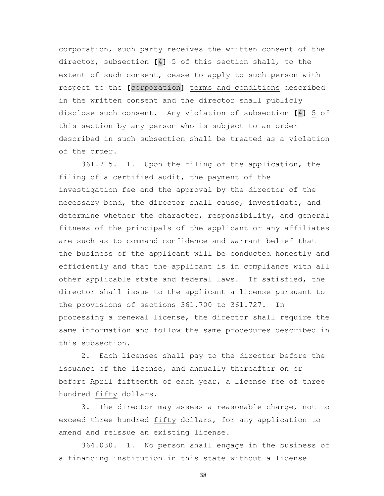corporation, such party receives the written consent of the director, subsection **[**4**]** 5 of this section shall, to the extent of such consent, cease to apply to such person with respect to the **[**corporation**]** terms and conditions described in the written consent and the director shall publicly disclose such consent. Any violation of subsection **[**4**]** 5 of this section by any person who is subject to an order described in such subsection shall be treated as a violation of the order.

 361.715. 1. Upon the filing of the application, the filing of a certified audit, the payment of the investigation fee and the approval by the director of the necessary bond, the director shall cause, investigate, and determine whether the character, responsibility, and general fitness of the principals of the applicant or any affiliates are such as to command confidence and warrant belief that the business of the applicant will be conducted honestly and efficiently and that the applicant is in compliance with all other applicable state and federal laws. If satisfied, the director shall issue to the applicant a license pursuant to the provisions of sections 361.700 to 361.727. In processing a renewal license, the director shall require the same information and follow the same procedures described in this subsection.

 2. Each licensee shall pay to the director before the issuance of the license, and annually thereafter on or before April fifteenth of each year, a license fee of three hundred fifty dollars.

 3. The director may assess a reasonable charge, not to exceed three hundred fifty dollars, for any application to amend and reissue an existing license.

 364.030. 1. No person shall engage in the business of a financing institution in this state without a license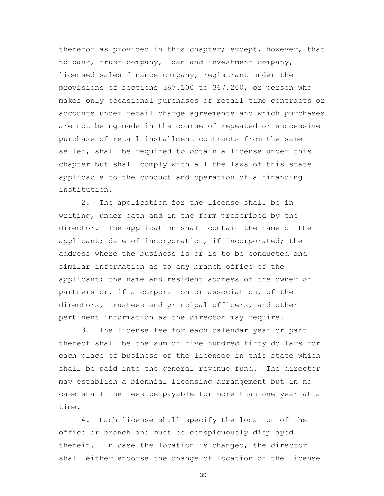therefor as provided in this chapter; except, however, that no bank, trust company, loan and investment company, licensed sales finance company, registrant under the provisions of sections 367.100 to 367.200, or person who makes only occasional purchases of retail time contracts or accounts under retail charge agreements and which purchases are not being made in the course of repeated or successive purchase of retail installment contracts from the same seller, shall be required to obtain a license under this chapter but shall comply with all the laws of this state applicable to the conduct and operation of a financing institution.

 2. The application for the license shall be in writing, under oath and in the form prescribed by the director. The application shall contain the name of the applicant; date of incorporation, if incorporated; the address where the business is or is to be conducted and similar information as to any branch office of the applicant; the name and resident address of the owner or partners or, if a corporation or association, of the directors, trustees and principal officers, and other pertinent information as the director may require.

 3. The license fee for each calendar year or part thereof shall be the sum of five hundred fifty dollars for each place of business of the licensee in this state which shall be paid into the general revenue fund. The director may establish a biennial licensing arrangement but in no case shall the fees be payable for more than one year at a time.

 4. Each license shall specify the location of the office or branch and must be conspicuously displayed therein. In case the location is changed, the director shall either endorse the change of location of the license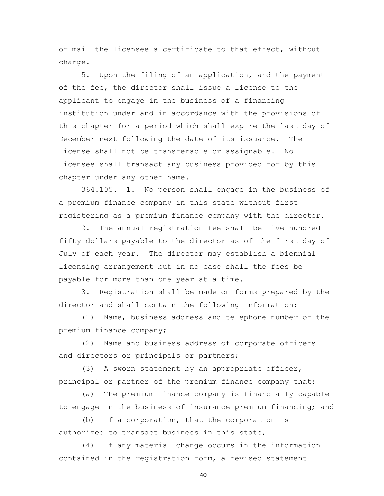or mail the licensee a certificate to that effect, without charge.

 5. Upon the filing of an application, and the payment of the fee, the director shall issue a license to the applicant to engage in the business of a financing institution under and in accordance with the provisions of this chapter for a period which shall expire the last day of December next following the date of its issuance. The license shall not be transferable or assignable. No licensee shall transact any business provided for by this chapter under any other name.

 364.105. 1. No person shall engage in the business of a premium finance company in this state without first registering as a premium finance company with the director.

 2. The annual registration fee shall be five hundred fifty dollars payable to the director as of the first day of July of each year. The director may establish a biennial licensing arrangement but in no case shall the fees be payable for more than one year at a time.

 3. Registration shall be made on forms prepared by the director and shall contain the following information:

 (1) Name, business address and telephone number of the premium finance company;

 (2) Name and business address of corporate officers and directors or principals or partners;

 (3) A sworn statement by an appropriate officer, principal or partner of the premium finance company that:

 (a) The premium finance company is financially capable to engage in the business of insurance premium financing; and

 (b) If a corporation, that the corporation is authorized to transact business in this state;

 (4) If any material change occurs in the information contained in the registration form, a revised statement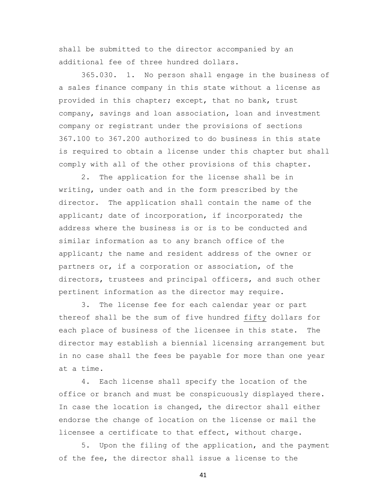shall be submitted to the director accompanied by an additional fee of three hundred dollars.

 365.030. 1. No person shall engage in the business of a sales finance company in this state without a license as provided in this chapter; except, that no bank, trust company, savings and loan association, loan and investment company or registrant under the provisions of sections 367.100 to 367.200 authorized to do business in this state is required to obtain a license under this chapter but shall comply with all of the other provisions of this chapter.

 2. The application for the license shall be in writing, under oath and in the form prescribed by the director. The application shall contain the name of the applicant; date of incorporation, if incorporated; the address where the business is or is to be conducted and similar information as to any branch office of the applicant; the name and resident address of the owner or partners or, if a corporation or association, of the directors, trustees and principal officers, and such other pertinent information as the director may require.

 3. The license fee for each calendar year or part thereof shall be the sum of five hundred fifty dollars for each place of business of the licensee in this state. The director may establish a biennial licensing arrangement but in no case shall the fees be payable for more than one year at a time.

 4. Each license shall specify the location of the office or branch and must be conspicuously displayed there. In case the location is changed, the director shall either endorse the change of location on the license or mail the licensee a certificate to that effect, without charge.

 5. Upon the filing of the application, and the payment of the fee, the director shall issue a license to the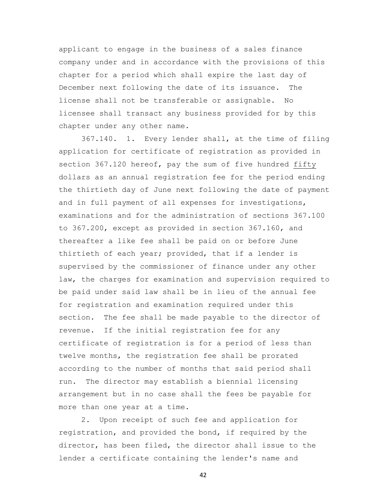applicant to engage in the business of a sales finance company under and in accordance with the provisions of this chapter for a period which shall expire the last day of December next following the date of its issuance. The license shall not be transferable or assignable. No licensee shall transact any business provided for by this chapter under any other name.

 367.140. 1. Every lender shall, at the time of filing application for certificate of registration as provided in section 367.120 hereof, pay the sum of five hundred fifty dollars as an annual registration fee for the period ending the thirtieth day of June next following the date of payment and in full payment of all expenses for investigations, examinations and for the administration of sections 367.100 to 367.200, except as provided in section 367.160, and thereafter a like fee shall be paid on or before June thirtieth of each year; provided, that if a lender is supervised by the commissioner of finance under any other law, the charges for examination and supervision required to be paid under said law shall be in lieu of the annual fee for registration and examination required under this section. The fee shall be made payable to the director of revenue. If the initial registration fee for any certificate of registration is for a period of less than twelve months, the registration fee shall be prorated according to the number of months that said period shall run. The director may establish a biennial licensing arrangement but in no case shall the fees be payable for more than one year at a time.

 2. Upon receipt of such fee and application for registration, and provided the bond, if required by the director, has been filed, the director shall issue to the lender a certificate containing the lender's name and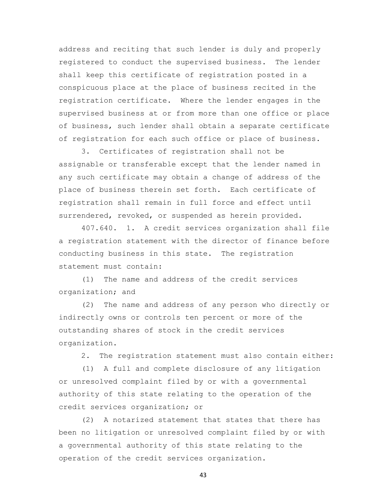address and reciting that such lender is duly and properly registered to conduct the supervised business. The lender shall keep this certificate of registration posted in a conspicuous place at the place of business recited in the registration certificate. Where the lender engages in the supervised business at or from more than one office or place of business, such lender shall obtain a separate certificate of registration for each such office or place of business.

 3. Certificates of registration shall not be assignable or transferable except that the lender named in any such certificate may obtain a change of address of the place of business therein set forth. Each certificate of registration shall remain in full force and effect until surrendered, revoked, or suspended as herein provided.

 407.640. 1. A credit services organization shall file a registration statement with the director of finance before conducting business in this state. The registration statement must contain:

 (1) The name and address of the credit services organization; and

 (2) The name and address of any person who directly or indirectly owns or controls ten percent or more of the outstanding shares of stock in the credit services organization.

2. The registration statement must also contain either:

 (1) A full and complete disclosure of any litigation or unresolved complaint filed by or with a governmental authority of this state relating to the operation of the credit services organization; or

 (2) A notarized statement that states that there has been no litigation or unresolved complaint filed by or with a governmental authority of this state relating to the operation of the credit services organization.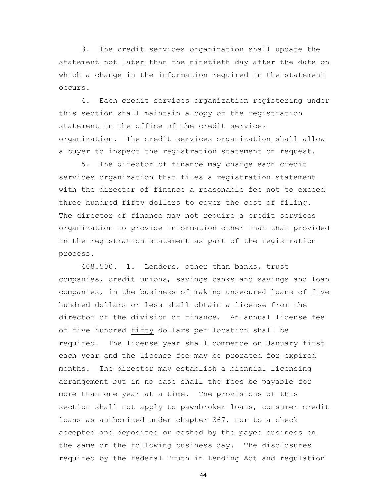3. The credit services organization shall update the statement not later than the ninetieth day after the date on which a change in the information required in the statement occurs.

 4. Each credit services organization registering under this section shall maintain a copy of the registration statement in the office of the credit services organization. The credit services organization shall allow a buyer to inspect the registration statement on request.

 5. The director of finance may charge each credit services organization that files a registration statement with the director of finance a reasonable fee not to exceed three hundred fifty dollars to cover the cost of filing. The director of finance may not require a credit services organization to provide information other than that provided in the registration statement as part of the registration process.

 408.500. 1. Lenders, other than banks, trust companies, credit unions, savings banks and savings and loan companies, in the business of making unsecured loans of five hundred dollars or less shall obtain a license from the director of the division of finance. An annual license fee of five hundred fifty dollars per location shall be required. The license year shall commence on January first each year and the license fee may be prorated for expired months. The director may establish a biennial licensing arrangement but in no case shall the fees be payable for more than one year at a time. The provisions of this section shall not apply to pawnbroker loans, consumer credit loans as authorized under chapter 367, nor to a check accepted and deposited or cashed by the payee business on the same or the following business day. The disclosures required by the federal Truth in Lending Act and regulation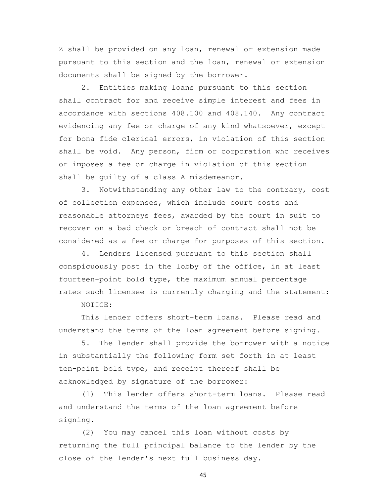Z shall be provided on any loan, renewal or extension made pursuant to this section and the loan, renewal or extension documents shall be signed by the borrower.

 2. Entities making loans pursuant to this section shall contract for and receive simple interest and fees in accordance with sections 408.100 and 408.140. Any contract evidencing any fee or charge of any kind whatsoever, except for bona fide clerical errors, in violation of this section shall be void. Any person, firm or corporation who receives or imposes a fee or charge in violation of this section shall be guilty of a class A misdemeanor.

 3. Notwithstanding any other law to the contrary, cost of collection expenses, which include court costs and reasonable attorneys fees, awarded by the court in suit to recover on a bad check or breach of contract shall not be considered as a fee or charge for purposes of this section.

 4. Lenders licensed pursuant to this section shall conspicuously post in the lobby of the office, in at least fourteen-point bold type, the maximum annual percentage rates such licensee is currently charging and the statement:

NOTICE:

 This lender offers short-term loans. Please read and understand the terms of the loan agreement before signing.

 5. The lender shall provide the borrower with a notice in substantially the following form set forth in at least ten-point bold type, and receipt thereof shall be acknowledged by signature of the borrower:

 (1) This lender offers short-term loans. Please read and understand the terms of the loan agreement before signing.

 (2) You may cancel this loan without costs by returning the full principal balance to the lender by the close of the lender's next full business day.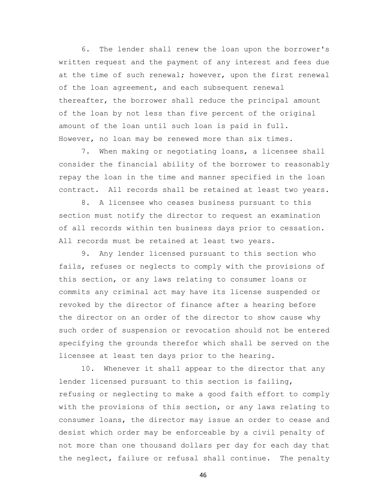6. The lender shall renew the loan upon the borrower's written request and the payment of any interest and fees due at the time of such renewal; however, upon the first renewal of the loan agreement, and each subsequent renewal thereafter, the borrower shall reduce the principal amount of the loan by not less than five percent of the original amount of the loan until such loan is paid in full. However, no loan may be renewed more than six times.

 7. When making or negotiating loans, a licensee shall consider the financial ability of the borrower to reasonably repay the loan in the time and manner specified in the loan contract. All records shall be retained at least two years.

 8. A licensee who ceases business pursuant to this section must notify the director to request an examination of all records within ten business days prior to cessation. All records must be retained at least two years.

 9. Any lender licensed pursuant to this section who fails, refuses or neglects to comply with the provisions of this section, or any laws relating to consumer loans or commits any criminal act may have its license suspended or revoked by the director of finance after a hearing before the director on an order of the director to show cause why such order of suspension or revocation should not be entered specifying the grounds therefor which shall be served on the licensee at least ten days prior to the hearing.

 10. Whenever it shall appear to the director that any lender licensed pursuant to this section is failing, refusing or neglecting to make a good faith effort to comply with the provisions of this section, or any laws relating to consumer loans, the director may issue an order to cease and desist which order may be enforceable by a civil penalty of not more than one thousand dollars per day for each day that the neglect, failure or refusal shall continue. The penalty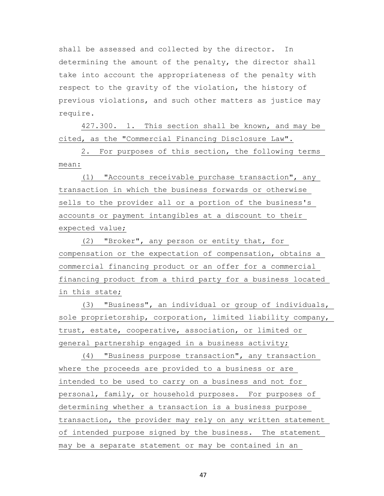shall be assessed and collected by the director. In determining the amount of the penalty, the director shall take into account the appropriateness of the penalty with respect to the gravity of the violation, the history of previous violations, and such other matters as justice may require.

 427.300. 1. This section shall be known, and may be cited, as the "Commercial Financing Disclosure Law".

 2. For purposes of this section, the following terms mean:

 (1) "Accounts receivable purchase transaction", any transaction in which the business forwards or otherwise sells to the provider all or a portion of the business's accounts or payment intangibles at a discount to their expected value;

 (2) "Broker", any person or entity that, for compensation or the expectation of compensation, obtains a commercial financing product or an offer for a commercial financing product from a third party for a business located in this state;

 (3) "Business", an individual or group of individuals, sole proprietorship, corporation, limited liability company, trust, estate, cooperative, association, or limited or general partnership engaged in a business activity;

 (4) "Business purpose transaction", any transaction where the proceeds are provided to a business or are intended to be used to carry on a business and not for personal, family, or household purposes. For purposes of determining whether a transaction is a business purpose transaction, the provider may rely on any written statement of intended purpose signed by the business. The statement may be a separate statement or may be contained in an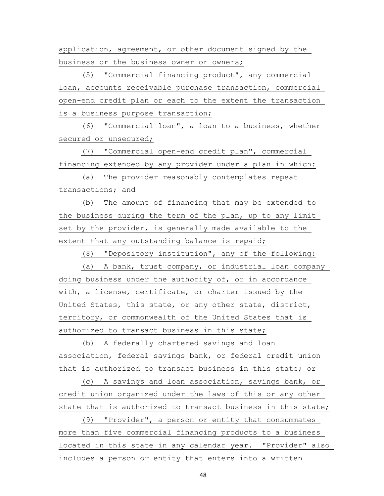application, agreement, or other document signed by the business or the business owner or owners;

 (5) "Commercial financing product", any commercial loan, accounts receivable purchase transaction, commercial open-end credit plan or each to the extent the transaction is a business purpose transaction;

 (6) "Commercial loan", a loan to a business, whether secured or unsecured;

 (7) "Commercial open-end credit plan", commercial financing extended by any provider under a plan in which:

 (a) The provider reasonably contemplates repeat transactions; and

 (b) The amount of financing that may be extended to the business during the term of the plan, up to any limit set by the provider, is generally made available to the extent that any outstanding balance is repaid;

(8) "Depository institution", any of the following:

 (a) A bank, trust company, or industrial loan company doing business under the authority of, or in accordance with, a license, certificate, or charter issued by the United States, this state, or any other state, district, territory, or commonwealth of the United States that is authorized to transact business in this state;

 (b) A federally chartered savings and loan association, federal savings bank, or federal credit union that is authorized to transact business in this state; or

 (c) A savings and loan association, savings bank, or credit union organized under the laws of this or any other state that is authorized to transact business in this state;

 (9) "Provider", a person or entity that consummates more than five commercial financing products to a business located in this state in any calendar year. "Provider" also includes a person or entity that enters into a written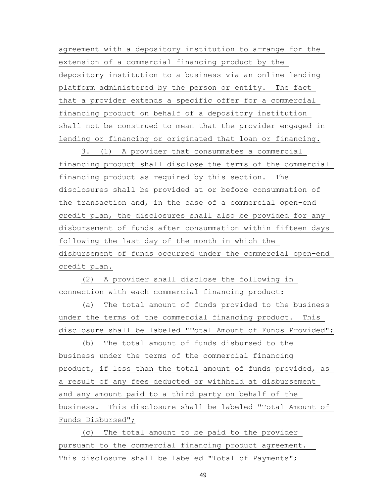agreement with a depository institution to arrange for the extension of a commercial financing product by the depository institution to a business via an online lending platform administered by the person or entity. The fact that a provider extends a specific offer for a commercial financing product on behalf of a depository institution shall not be construed to mean that the provider engaged in lending or financing or originated that loan or financing.

 3. (1) A provider that consummates a commercial financing product shall disclose the terms of the commercial financing product as required by this section. The disclosures shall be provided at or before consummation of the transaction and, in the case of a commercial open-end credit plan, the disclosures shall also be provided for any disbursement of funds after consummation within fifteen days following the last day of the month in which the disbursement of funds occurred under the commercial open-end credit plan.

 (2) A provider shall disclose the following in connection with each commercial financing product:

 (a) The total amount of funds provided to the business under the terms of the commercial financing product. This disclosure shall be labeled "Total Amount of Funds Provided";

 (b) The total amount of funds disbursed to the business under the terms of the commercial financing product, if less than the total amount of funds provided, as a result of any fees deducted or withheld at disbursement and any amount paid to a third party on behalf of the business. This disclosure shall be labeled "Total Amount of Funds Disbursed";

 (c) The total amount to be paid to the provider pursuant to the commercial financing product agreement. This disclosure shall be labeled "Total of Payments";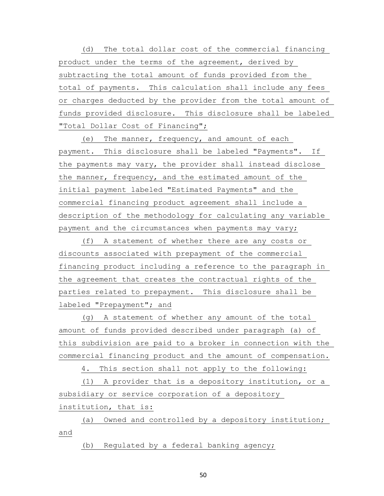(d) The total dollar cost of the commercial financing product under the terms of the agreement, derived by subtracting the total amount of funds provided from the total of payments. This calculation shall include any fees or charges deducted by the provider from the total amount of funds provided disclosure. This disclosure shall be labeled "Total Dollar Cost of Financing";

 (e) The manner, frequency, and amount of each payment. This disclosure shall be labeled "Payments". If the payments may vary, the provider shall instead disclose the manner, frequency, and the estimated amount of the initial payment labeled "Estimated Payments" and the commercial financing product agreement shall include a description of the methodology for calculating any variable payment and the circumstances when payments may vary;

 (f) A statement of whether there are any costs or discounts associated with prepayment of the commercial financing product including a reference to the paragraph in the agreement that creates the contractual rights of the parties related to prepayment. This disclosure shall be labeled "Prepayment"; and

 (g) A statement of whether any amount of the total amount of funds provided described under paragraph (a) of this subdivision are paid to a broker in connection with the commercial financing product and the amount of compensation.

4. This section shall not apply to the following:

 (1) A provider that is a depository institution, or a subsidiary or service corporation of a depository institution, that is:

 (a) Owned and controlled by a depository institution; and

(b) Regulated by a federal banking agency;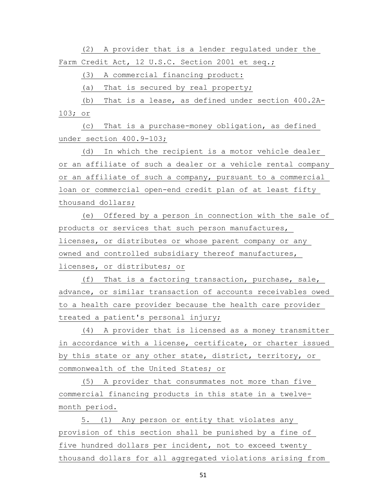(2) A provider that is a lender regulated under the Farm Credit Act, 12 U.S.C. Section 2001 et seq.;

(3) A commercial financing product:

(a) That is secured by real property;

 (b) That is a lease, as defined under section 400.2A-103; or

 (c) That is a purchase-money obligation, as defined under section 400.9-103;

 (d) In which the recipient is a motor vehicle dealer or an affiliate of such a dealer or a vehicle rental company or an affiliate of such a company, pursuant to a commercial loan or commercial open-end credit plan of at least fifty thousand dollars;

 (e) Offered by a person in connection with the sale of products or services that such person manufactures, licenses, or distributes or whose parent company or any owned and controlled subsidiary thereof manufactures, licenses, or distributes; or

 (f) That is a factoring transaction, purchase, sale, advance, or similar transaction of accounts receivables owed to a health care provider because the health care provider treated a patient's personal injury;

 (4) A provider that is licensed as a money transmitter in accordance with a license, certificate, or charter issued by this state or any other state, district, territory, or commonwealth of the United States; or

 (5) A provider that consummates not more than five commercial financing products in this state in a twelvemonth period.

 5. (1) Any person or entity that violates any provision of this section shall be punished by a fine of five hundred dollars per incident, not to exceed twenty thousand dollars for all aggregated violations arising from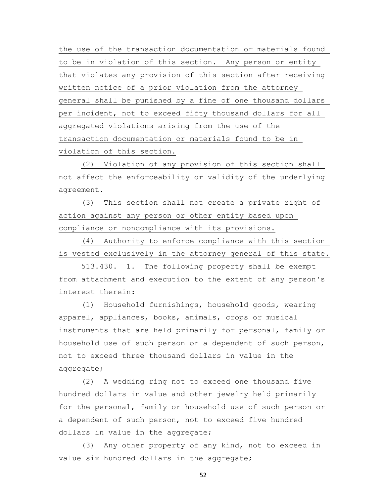the use of the transaction documentation or materials found to be in violation of this section. Any person or entity that violates any provision of this section after receiving written notice of a prior violation from the attorney general shall be punished by a fine of one thousand dollars per incident, not to exceed fifty thousand dollars for all aggregated violations arising from the use of the transaction documentation or materials found to be in violation of this section.

 (2) Violation of any provision of this section shall not affect the enforceability or validity of the underlying agreement.

 (3) This section shall not create a private right of action against any person or other entity based upon compliance or noncompliance with its provisions.

 (4) Authority to enforce compliance with this section is vested exclusively in the attorney general of this state.

 513.430. 1. The following property shall be exempt from attachment and execution to the extent of any person's interest therein:

 (1) Household furnishings, household goods, wearing apparel, appliances, books, animals, crops or musical instruments that are held primarily for personal, family or household use of such person or a dependent of such person, not to exceed three thousand dollars in value in the aggregate;

 (2) A wedding ring not to exceed one thousand five hundred dollars in value and other jewelry held primarily for the personal, family or household use of such person or a dependent of such person, not to exceed five hundred dollars in value in the aggregate;

 (3) Any other property of any kind, not to exceed in value six hundred dollars in the aggregate;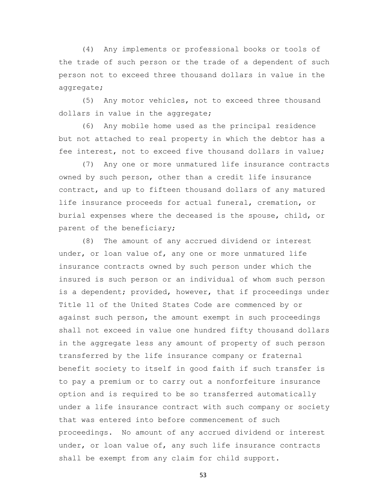(4) Any implements or professional books or tools of the trade of such person or the trade of a dependent of such person not to exceed three thousand dollars in value in the aggregate;

 (5) Any motor vehicles, not to exceed three thousand dollars in value in the aggregate;

 (6) Any mobile home used as the principal residence but not attached to real property in which the debtor has a fee interest, not to exceed five thousand dollars in value;

 (7) Any one or more unmatured life insurance contracts owned by such person, other than a credit life insurance contract, and up to fifteen thousand dollars of any matured life insurance proceeds for actual funeral, cremation, or burial expenses where the deceased is the spouse, child, or parent of the beneficiary;

 (8) The amount of any accrued dividend or interest under, or loan value of, any one or more unmatured life insurance contracts owned by such person under which the insured is such person or an individual of whom such person is a dependent; provided, however, that if proceedings under Title 11 of the United States Code are commenced by or against such person, the amount exempt in such proceedings shall not exceed in value one hundred fifty thousand dollars in the aggregate less any amount of property of such person transferred by the life insurance company or fraternal benefit society to itself in good faith if such transfer is to pay a premium or to carry out a nonforfeiture insurance option and is required to be so transferred automatically under a life insurance contract with such company or society that was entered into before commencement of such proceedings. No amount of any accrued dividend or interest under, or loan value of, any such life insurance contracts shall be exempt from any claim for child support.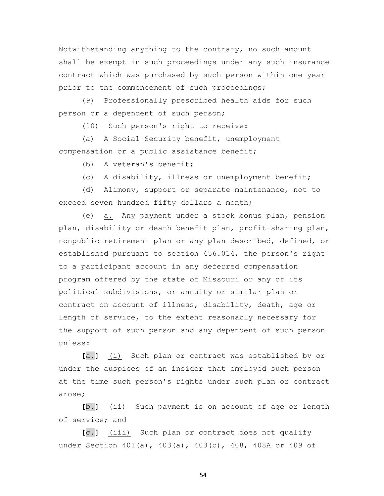Notwithstanding anything to the contrary, no such amount shall be exempt in such proceedings under any such insurance contract which was purchased by such person within one year prior to the commencement of such proceedings;

 (9) Professionally prescribed health aids for such person or a dependent of such person;

(10) Such person's right to receive:

 (a) A Social Security benefit, unemployment compensation or a public assistance benefit;

(b) A veteran's benefit;

(c) A disability, illness or unemployment benefit;

 (d) Alimony, support or separate maintenance, not to exceed seven hundred fifty dollars a month;

 (e) a. Any payment under a stock bonus plan, pension plan, disability or death benefit plan, profit-sharing plan, nonpublic retirement plan or any plan described, defined, or established pursuant to section 456.014, the person's right to a participant account in any deferred compensation program offered by the state of Missouri or any of its political subdivisions, or annuity or similar plan or contract on account of illness, disability, death, age or length of service, to the extent reasonably necessary for the support of such person and any dependent of such person unless:

 **[**a.**]** (i) Such plan or contract was established by or under the auspices of an insider that employed such person at the time such person's rights under such plan or contract arose;

 **[**b.**]** (ii) Such payment is on account of age or length of service; and

 **[**c.**]** (iii) Such plan or contract does not qualify under Section 401(a), 403(a), 403(b), 408, 408A or 409 of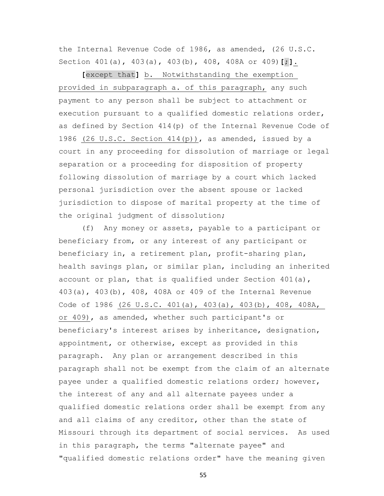the Internal Revenue Code of 1986, as amended, (26 U.S.C. Section 401(a), 403(a), 403(b), 408, 408A or 409)**[**;**]**.

 **[**except that**]** b. Notwithstanding the exemption provided in subparagraph a. of this paragraph, any such payment to any person shall be subject to attachment or execution pursuant to a qualified domestic relations order, as defined by Section 414(p) of the Internal Revenue Code of 1986 (26 U.S.C. Section 414(p)), as amended, issued by a court in any proceeding for dissolution of marriage or legal separation or a proceeding for disposition of property following dissolution of marriage by a court which lacked personal jurisdiction over the absent spouse or lacked jurisdiction to dispose of marital property at the time of the original judgment of dissolution;

 (f) Any money or assets, payable to a participant or beneficiary from, or any interest of any participant or beneficiary in, a retirement plan, profit-sharing plan, health savings plan, or similar plan, including an inherited account or plan, that is qualified under Section 401(a), 403(a), 403(b), 408, 408A or 409 of the Internal Revenue Code of 1986 (26 U.S.C. 401(a), 403(a), 403(b), 408, 408A, or 409), as amended, whether such participant's or beneficiary's interest arises by inheritance, designation, appointment, or otherwise, except as provided in this paragraph. Any plan or arrangement described in this paragraph shall not be exempt from the claim of an alternate payee under a qualified domestic relations order; however, the interest of any and all alternate payees under a qualified domestic relations order shall be exempt from any and all claims of any creditor, other than the state of Missouri through its department of social services. As used in this paragraph, the terms "alternate payee" and "qualified domestic relations order" have the meaning given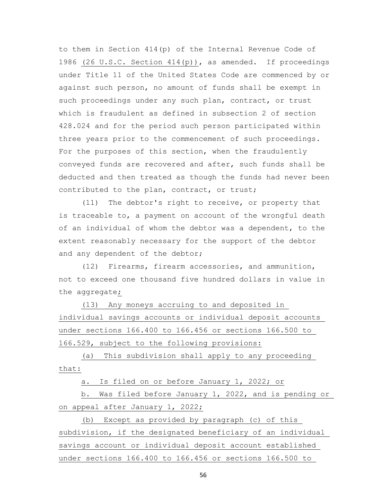to them in Section 414(p) of the Internal Revenue Code of 1986 (26 U.S.C. Section 414(p)), as amended. If proceedings under Title 11 of the United States Code are commenced by or against such person, no amount of funds shall be exempt in such proceedings under any such plan, contract, or trust which is fraudulent as defined in subsection 2 of section 428.024 and for the period such person participated within three years prior to the commencement of such proceedings. For the purposes of this section, when the fraudulently conveyed funds are recovered and after, such funds shall be deducted and then treated as though the funds had never been contributed to the plan, contract, or trust;

 (11) The debtor's right to receive, or property that is traceable to, a payment on account of the wrongful death of an individual of whom the debtor was a dependent, to the extent reasonably necessary for the support of the debtor and any dependent of the debtor;

 (12) Firearms, firearm accessories, and ammunition, not to exceed one thousand five hundred dollars in value in the aggregate;

 (13) Any moneys accruing to and deposited in individual savings accounts or individual deposit accounts under sections 166.400 to 166.456 or sections 166.500 to 166.529, subject to the following provisions:

 (a) This subdivision shall apply to any proceeding that:

a. Is filed on or before January 1, 2022; or

 b. Was filed before January 1, 2022, and is pending or on appeal after January 1, 2022;

 (b) Except as provided by paragraph (c) of this subdivision, if the designated beneficiary of an individual savings account or individual deposit account established under sections 166.400 to 166.456 or sections 166.500 to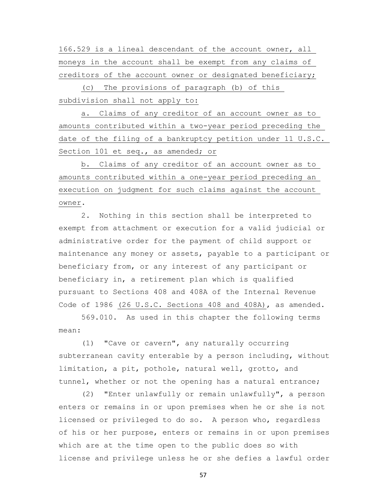166.529 is a lineal descendant of the account owner, all moneys in the account shall be exempt from any claims of creditors of the account owner or designated beneficiary;

 (c) The provisions of paragraph (b) of this subdivision shall not apply to:

 a. Claims of any creditor of an account owner as to amounts contributed within a two-year period preceding the date of the filing of a bankruptcy petition under 11 U.S.C. Section 101 et seq., as amended; or

 b. Claims of any creditor of an account owner as to amounts contributed within a one-year period preceding an execution on judgment for such claims against the account owner.

 2. Nothing in this section shall be interpreted to exempt from attachment or execution for a valid judicial or administrative order for the payment of child support or maintenance any money or assets, payable to a participant or beneficiary from, or any interest of any participant or beneficiary in, a retirement plan which is qualified pursuant to Sections 408 and 408A of the Internal Revenue Code of 1986 (26 U.S.C. Sections 408 and 408A), as amended.

 569.010. As used in this chapter the following terms mean:

 (1) "Cave or cavern", any naturally occurring subterranean cavity enterable by a person including, without limitation, a pit, pothole, natural well, grotto, and tunnel, whether or not the opening has a natural entrance;

 (2) "Enter unlawfully or remain unlawfully", a person enters or remains in or upon premises when he or she is not licensed or privileged to do so. A person who, regardless of his or her purpose, enters or remains in or upon premises which are at the time open to the public does so with license and privilege unless he or she defies a lawful order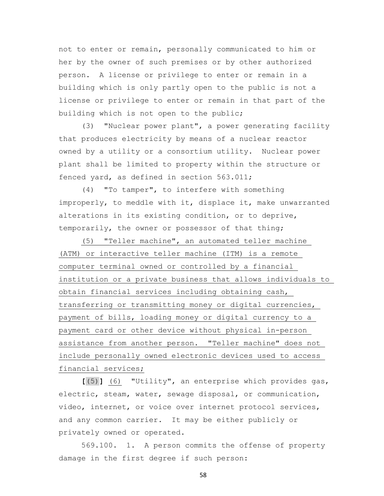not to enter or remain, personally communicated to him or her by the owner of such premises or by other authorized person. A license or privilege to enter or remain in a building which is only partly open to the public is not a license or privilege to enter or remain in that part of the building which is not open to the public;

 (3) "Nuclear power plant", a power generating facility that produces electricity by means of a nuclear reactor owned by a utility or a consortium utility. Nuclear power plant shall be limited to property within the structure or fenced yard, as defined in section 563.011;

 (4) "To tamper", to interfere with something improperly, to meddle with it, displace it, make unwarranted alterations in its existing condition, or to deprive, temporarily, the owner or possessor of that thing;

 (5) "Teller machine", an automated teller machine (ATM) or interactive teller machine (ITM) is a remote computer terminal owned or controlled by a financial institution or a private business that allows individuals to obtain financial services including obtaining cash, transferring or transmitting money or digital currencies, payment of bills, loading money or digital currency to a payment card or other device without physical in-person assistance from another person. "Teller machine" does not include personally owned electronic devices used to access financial services;

 **[**(5)**]** (6) "Utility", an enterprise which provides gas, electric, steam, water, sewage disposal, or communication, video, internet, or voice over internet protocol services, and any common carrier. It may be either publicly or privately owned or operated.

 569.100. 1. A person commits the offense of property damage in the first degree if such person: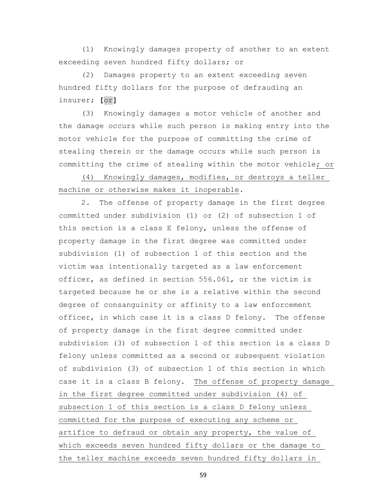(1) Knowingly damages property of another to an extent exceeding seven hundred fifty dollars; or

 (2) Damages property to an extent exceeding seven hundred fifty dollars for the purpose of defrauding an insurer; **[**or**]**

 (3) Knowingly damages a motor vehicle of another and the damage occurs while such person is making entry into the motor vehicle for the purpose of committing the crime of stealing therein or the damage occurs while such person is committing the crime of stealing within the motor vehicle; or

 (4) Knowingly damages, modifies, or destroys a teller machine or otherwise makes it inoperable.

 2. The offense of property damage in the first degree committed under subdivision (1) or (2) of subsection 1 of this section is a class E felony, unless the offense of property damage in the first degree was committed under subdivision (1) of subsection 1 of this section and the victim was intentionally targeted as a law enforcement officer, as defined in section 556.061, or the victim is targeted because he or she is a relative within the second degree of consanguinity or affinity to a law enforcement officer, in which case it is a class D felony. The offense of property damage in the first degree committed under subdivision (3) of subsection 1 of this section is a class D felony unless committed as a second or subsequent violation of subdivision (3) of subsection 1 of this section in which case it is a class B felony. The offense of property damage in the first degree committed under subdivision (4) of subsection 1 of this section is a class D felony unless committed for the purpose of executing any scheme or artifice to defraud or obtain any property, the value of which exceeds seven hundred fifty dollars or the damage to the teller machine exceeds seven hundred fifty dollars in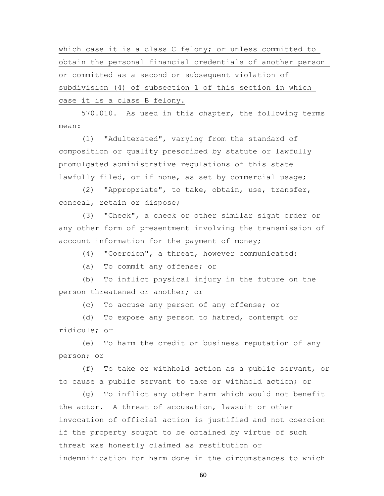which case it is a class C felony; or unless committed to obtain the personal financial credentials of another person or committed as a second or subsequent violation of subdivision (4) of subsection 1 of this section in which case it is a class B felony.

 570.010. As used in this chapter, the following terms mean:

 (1) "Adulterated", varying from the standard of composition or quality prescribed by statute or lawfully promulgated administrative regulations of this state lawfully filed, or if none, as set by commercial usage;

 (2) "Appropriate", to take, obtain, use, transfer, conceal, retain or dispose;

 (3) "Check", a check or other similar sight order or any other form of presentment involving the transmission of account information for the payment of money;

(4) "Coercion", a threat, however communicated:

(a) To commit any offense; or

 (b) To inflict physical injury in the future on the person threatened or another; or

(c) To accuse any person of any offense; or

 (d) To expose any person to hatred, contempt or ridicule; or

 (e) To harm the credit or business reputation of any person; or

 (f) To take or withhold action as a public servant, or to cause a public servant to take or withhold action; or

 (g) To inflict any other harm which would not benefit the actor. A threat of accusation, lawsuit or other invocation of official action is justified and not coercion if the property sought to be obtained by virtue of such threat was honestly claimed as restitution or indemnification for harm done in the circumstances to which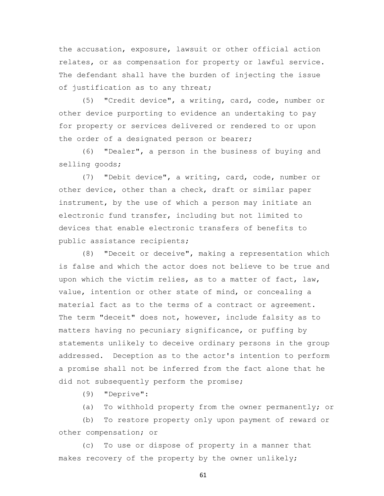the accusation, exposure, lawsuit or other official action relates, or as compensation for property or lawful service. The defendant shall have the burden of injecting the issue of justification as to any threat;

 (5) "Credit device", a writing, card, code, number or other device purporting to evidence an undertaking to pay for property or services delivered or rendered to or upon the order of a designated person or bearer;

 (6) "Dealer", a person in the business of buying and selling goods;

 (7) "Debit device", a writing, card, code, number or other device, other than a check, draft or similar paper instrument, by the use of which a person may initiate an electronic fund transfer, including but not limited to devices that enable electronic transfers of benefits to public assistance recipients;

 (8) "Deceit or deceive", making a representation which is false and which the actor does not believe to be true and upon which the victim relies, as to a matter of fact, law, value, intention or other state of mind, or concealing a material fact as to the terms of a contract or agreement. The term "deceit" does not, however, include falsity as to matters having no pecuniary significance, or puffing by statements unlikely to deceive ordinary persons in the group addressed. Deception as to the actor's intention to perform a promise shall not be inferred from the fact alone that he did not subsequently perform the promise;

(9) "Deprive":

(a) To withhold property from the owner permanently; or

 (b) To restore property only upon payment of reward or other compensation; or

 (c) To use or dispose of property in a manner that makes recovery of the property by the owner unlikely;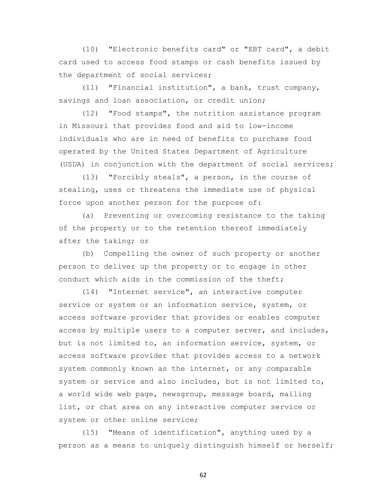(10) "Electronic benefits card" or "EBT card", a debit card used to access food stamps or cash benefits issued by the department of social services;

 (11) "Financial institution", a bank, trust company, savings and loan association, or credit union;

 (12) "Food stamps", the nutrition assistance program in Missouri that provides food and aid to low-income individuals who are in need of benefits to purchase food operated by the United States Department of Agriculture (USDA) in conjunction with the department of social services;

 (13) "Forcibly steals", a person, in the course of stealing, uses or threatens the immediate use of physical force upon another person for the purpose of:

 (a) Preventing or overcoming resistance to the taking of the property or to the retention thereof immediately after the taking; or

 (b) Compelling the owner of such property or another person to deliver up the property or to engage in other conduct which aids in the commission of the theft;

 (14) "Internet service", an interactive computer service or system or an information service, system, or access software provider that provides or enables computer access by multiple users to a computer server, and includes, but is not limited to, an information service, system, or access software provider that provides access to a network system commonly known as the internet, or any comparable system or service and also includes, but is not limited to, a world wide web page, newsgroup, message board, mailing list, or chat area on any interactive computer service or system or other online service;

 (15) "Means of identification", anything used by a person as a means to uniquely distinguish himself or herself;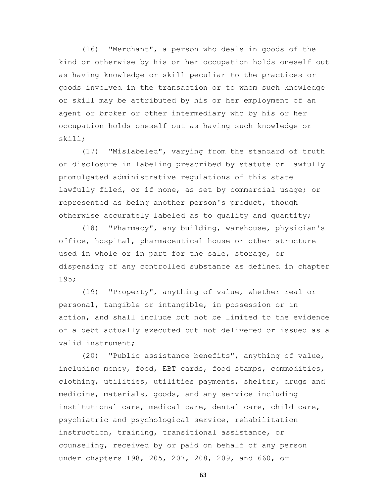(16) "Merchant", a person who deals in goods of the kind or otherwise by his or her occupation holds oneself out as having knowledge or skill peculiar to the practices or goods involved in the transaction or to whom such knowledge or skill may be attributed by his or her employment of an agent or broker or other intermediary who by his or her occupation holds oneself out as having such knowledge or skill;

 (17) "Mislabeled", varying from the standard of truth or disclosure in labeling prescribed by statute or lawfully promulgated administrative regulations of this state lawfully filed, or if none, as set by commercial usage; or represented as being another person's product, though otherwise accurately labeled as to quality and quantity;

 (18) "Pharmacy", any building, warehouse, physician's office, hospital, pharmaceutical house or other structure used in whole or in part for the sale, storage, or dispensing of any controlled substance as defined in chapter 195;

 (19) "Property", anything of value, whether real or personal, tangible or intangible, in possession or in action, and shall include but not be limited to the evidence of a debt actually executed but not delivered or issued as a valid instrument;

 (20) "Public assistance benefits", anything of value, including money, food, EBT cards, food stamps, commodities, clothing, utilities, utilities payments, shelter, drugs and medicine, materials, goods, and any service including institutional care, medical care, dental care, child care, psychiatric and psychological service, rehabilitation instruction, training, transitional assistance, or counseling, received by or paid on behalf of any person under chapters 198, 205, 207, 208, 209, and 660, or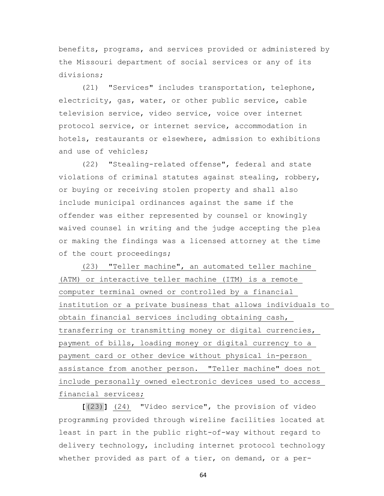benefits, programs, and services provided or administered by the Missouri department of social services or any of its divisions;

 (21) "Services" includes transportation, telephone, electricity, gas, water, or other public service, cable television service, video service, voice over internet protocol service, or internet service, accommodation in hotels, restaurants or elsewhere, admission to exhibitions and use of vehicles;

 (22) "Stealing-related offense", federal and state violations of criminal statutes against stealing, robbery, or buying or receiving stolen property and shall also include municipal ordinances against the same if the offender was either represented by counsel or knowingly waived counsel in writing and the judge accepting the plea or making the findings was a licensed attorney at the time of the court proceedings;

 (23) "Teller machine", an automated teller machine (ATM) or interactive teller machine (ITM) is a remote computer terminal owned or controlled by a financial institution or a private business that allows individuals to obtain financial services including obtaining cash, transferring or transmitting money or digital currencies, payment of bills, loading money or digital currency to a payment card or other device without physical in-person assistance from another person. "Teller machine" does not include personally owned electronic devices used to access financial services;

 **[**(23)**]** (24) "Video service", the provision of video programming provided through wireline facilities located at least in part in the public right-of-way without regard to delivery technology, including internet protocol technology whether provided as part of a tier, on demand, or a per-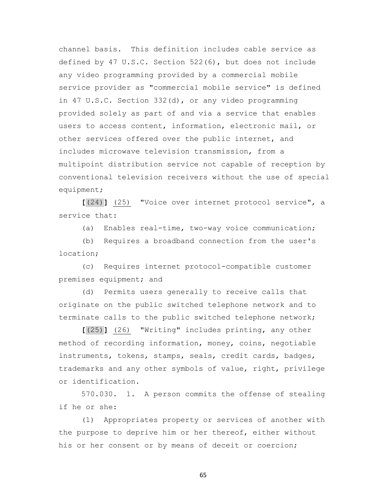channel basis. This definition includes cable service as defined by 47 U.S.C. Section 522(6), but does not include any video programming provided by a commercial mobile service provider as "commercial mobile service" is defined in 47 U.S.C. Section 332(d), or any video programming provided solely as part of and via a service that enables users to access content, information, electronic mail, or other services offered over the public internet, and includes microwave television transmission, from a multipoint distribution service not capable of reception by conventional television receivers without the use of special equipment;

 **[**(24)**]** (25) "Voice over internet protocol service", a service that:

(a) Enables real-time, two-way voice communication;

 (b) Requires a broadband connection from the user's location;

 (c) Requires internet protocol-compatible customer premises equipment; and

 (d) Permits users generally to receive calls that originate on the public switched telephone network and to terminate calls to the public switched telephone network;

 **[**(25)**]** (26) "Writing" includes printing, any other method of recording information, money, coins, negotiable instruments, tokens, stamps, seals, credit cards, badges, trademarks and any other symbols of value, right, privilege or identification.

 570.030. 1. A person commits the offense of stealing if he or she:

 (1) Appropriates property or services of another with the purpose to deprive him or her thereof, either without his or her consent or by means of deceit or coercion;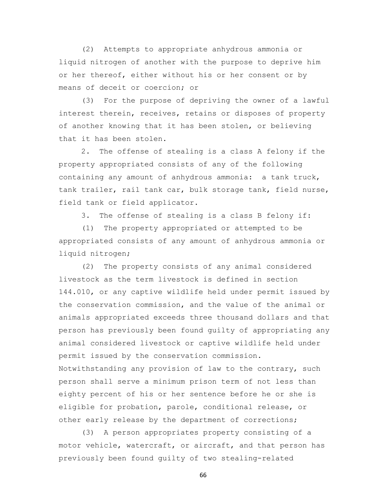(2) Attempts to appropriate anhydrous ammonia or liquid nitrogen of another with the purpose to deprive him or her thereof, either without his or her consent or by means of deceit or coercion; or

 (3) For the purpose of depriving the owner of a lawful interest therein, receives, retains or disposes of property of another knowing that it has been stolen, or believing that it has been stolen.

 2. The offense of stealing is a class A felony if the property appropriated consists of any of the following containing any amount of anhydrous ammonia: a tank truck, tank trailer, rail tank car, bulk storage tank, field nurse, field tank or field applicator.

3. The offense of stealing is a class B felony if:

 (1) The property appropriated or attempted to be appropriated consists of any amount of anhydrous ammonia or liquid nitrogen;

 (2) The property consists of any animal considered livestock as the term livestock is defined in section 144.010, or any captive wildlife held under permit issued by the conservation commission, and the value of the animal or animals appropriated exceeds three thousand dollars and that person has previously been found guilty of appropriating any animal considered livestock or captive wildlife held under permit issued by the conservation commission. Notwithstanding any provision of law to the contrary, such person shall serve a minimum prison term of not less than eighty percent of his or her sentence before he or she is eligible for probation, parole, conditional release, or

 (3) A person appropriates property consisting of a motor vehicle, watercraft, or aircraft, and that person has previously been found guilty of two stealing-related

other early release by the department of corrections;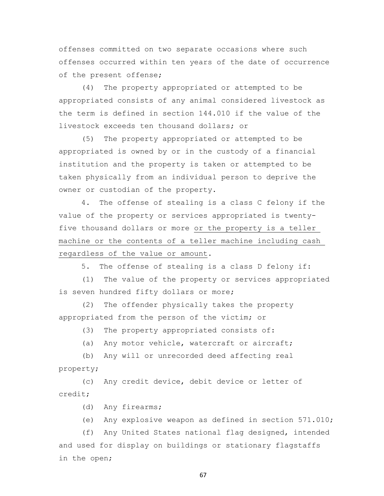offenses committed on two separate occasions where such offenses occurred within ten years of the date of occurrence of the present offense;

 (4) The property appropriated or attempted to be appropriated consists of any animal considered livestock as the term is defined in section 144.010 if the value of the livestock exceeds ten thousand dollars; or

 (5) The property appropriated or attempted to be appropriated is owned by or in the custody of a financial institution and the property is taken or attempted to be taken physically from an individual person to deprive the owner or custodian of the property.

 4. The offense of stealing is a class C felony if the value of the property or services appropriated is twentyfive thousand dollars or more or the property is a teller machine or the contents of a teller machine including cash regardless of the value or amount.

5. The offense of stealing is a class D felony if:

 (1) The value of the property or services appropriated is seven hundred fifty dollars or more;

 (2) The offender physically takes the property appropriated from the person of the victim; or

(3) The property appropriated consists of:

(a) Any motor vehicle, watercraft or aircraft;

 (b) Any will or unrecorded deed affecting real property;

 (c) Any credit device, debit device or letter of credit;

(d) Any firearms;

(e) Any explosive weapon as defined in section 571.010;

 (f) Any United States national flag designed, intended and used for display on buildings or stationary flagstaffs in the open;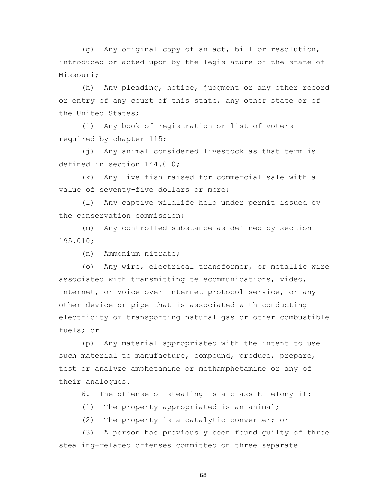(g) Any original copy of an act, bill or resolution, introduced or acted upon by the legislature of the state of Missouri;

 (h) Any pleading, notice, judgment or any other record or entry of any court of this state, any other state or of the United States;

 (i) Any book of registration or list of voters required by chapter 115;

 (j) Any animal considered livestock as that term is defined in section 144.010;

 (k) Any live fish raised for commercial sale with a value of seventy-five dollars or more;

 (l) Any captive wildlife held under permit issued by the conservation commission;

 (m) Any controlled substance as defined by section 195.010;

(n) Ammonium nitrate;

 (o) Any wire, electrical transformer, or metallic wire associated with transmitting telecommunications, video, internet, or voice over internet protocol service, or any other device or pipe that is associated with conducting electricity or transporting natural gas or other combustible fuels; or

 (p) Any material appropriated with the intent to use such material to manufacture, compound, produce, prepare, test or analyze amphetamine or methamphetamine or any of their analogues.

6. The offense of stealing is a class E felony if:

(1) The property appropriated is an animal;

(2) The property is a catalytic converter; or

 (3) A person has previously been found guilty of three stealing-related offenses committed on three separate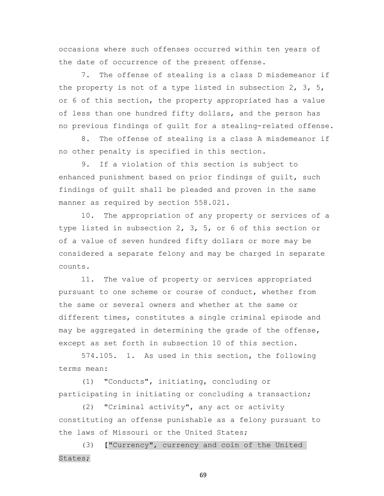occasions where such offenses occurred within ten years of the date of occurrence of the present offense.

 7. The offense of stealing is a class D misdemeanor if the property is not of a type listed in subsection 2, 3, 5, or 6 of this section, the property appropriated has a value of less than one hundred fifty dollars, and the person has no previous findings of guilt for a stealing-related offense.

 8. The offense of stealing is a class A misdemeanor if no other penalty is specified in this section.

 9. If a violation of this section is subject to enhanced punishment based on prior findings of guilt, such findings of guilt shall be pleaded and proven in the same manner as required by section 558.021.

 10. The appropriation of any property or services of a type listed in subsection 2, 3, 5, or 6 of this section or of a value of seven hundred fifty dollars or more may be considered a separate felony and may be charged in separate counts.

 11. The value of property or services appropriated pursuant to one scheme or course of conduct, whether from the same or several owners and whether at the same or different times, constitutes a single criminal episode and may be aggregated in determining the grade of the offense, except as set forth in subsection 10 of this section.

 574.105. 1. As used in this section, the following terms mean:

 (1) "Conducts", initiating, concluding or participating in initiating or concluding a transaction;

 (2) "Criminal activity", any act or activity constituting an offense punishable as a felony pursuant to the laws of Missouri or the United States;

 (3) **[**"Currency", currency and coin of the United States;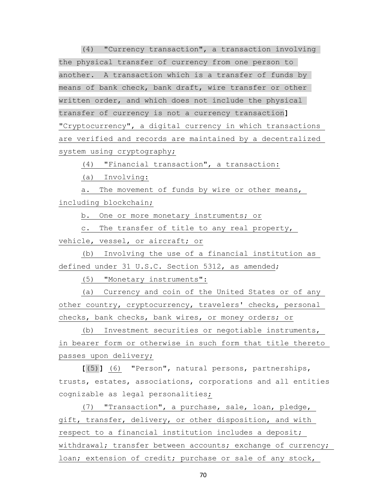(4) "Currency transaction", a transaction involving the physical transfer of currency from one person to another. A transaction which is a transfer of funds by means of bank check, bank draft, wire transfer or other written order, and which does not include the physical transfer of currency is not a currency transaction**]** "Cryptocurrency", a digital currency in which transactions are verified and records are maintained by a decentralized system using cryptography;

(4) "Financial transaction", a transaction:

(a) Involving:

 a. The movement of funds by wire or other means, including blockchain;

b. One or more monetary instruments; or

 c. The transfer of title to any real property, vehicle, vessel, or aircraft; or

 (b) Involving the use of a financial institution as defined under 31 U.S.C. Section 5312, as amended;

(5) "Monetary instruments":

 (a) Currency and coin of the United States or of any other country, cryptocurrency, travelers' checks, personal checks, bank checks, bank wires, or money orders; or

 (b) Investment securities or negotiable instruments, in bearer form or otherwise in such form that title thereto passes upon delivery;

 **[**(5)**]** (6) "Person", natural persons, partnerships, trusts, estates, associations, corporations and all entities cognizable as legal personalities;

 (7) "Transaction", a purchase, sale, loan, pledge, gift, transfer, delivery, or other disposition, and with respect to a financial institution includes a deposit; withdrawal; transfer between accounts; exchange of currency; loan; extension of credit; purchase or sale of any stock,